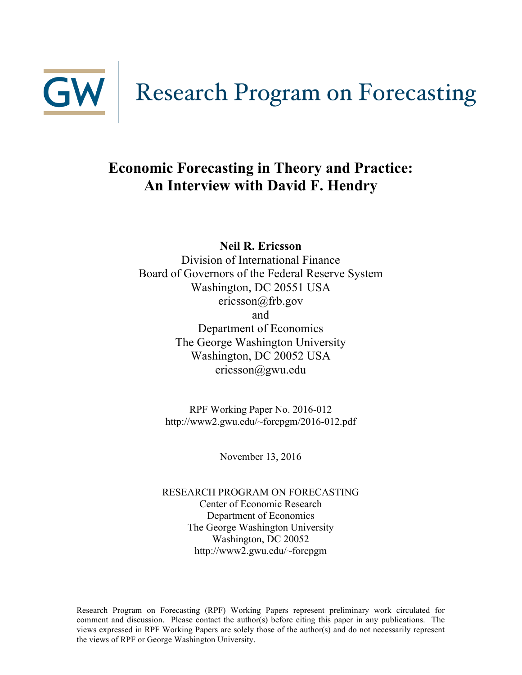

# **Economic Forecasting in Theory and Practice: An Interview with David F. Hendry**

**Neil R. Ericsson**

Division of International Finance Board of Governors of the Federal Reserve System Washington, DC 20551 USA ericsson@frb.gov and Department of Economics The George Washington University Washington, DC 20052 USA ericsson@gwu.edu

> RPF Working Paper No. 2016-012 http://www2.gwu.edu/~forcpgm/2016-012.pdf

> > November 13, 2016

RESEARCH PROGRAM ON FORECASTING Center of Economic Research Department of Economics The George Washington University Washington, DC 20052 http://www2.gwu.edu/~forcpgm

Research Program on Forecasting (RPF) Working Papers represent preliminary work circulated for comment and discussion. Please contact the author(s) before citing this paper in any publications. The views expressed in RPF Working Papers are solely those of the author(s) and do not necessarily represent the views of RPF or George Washington University.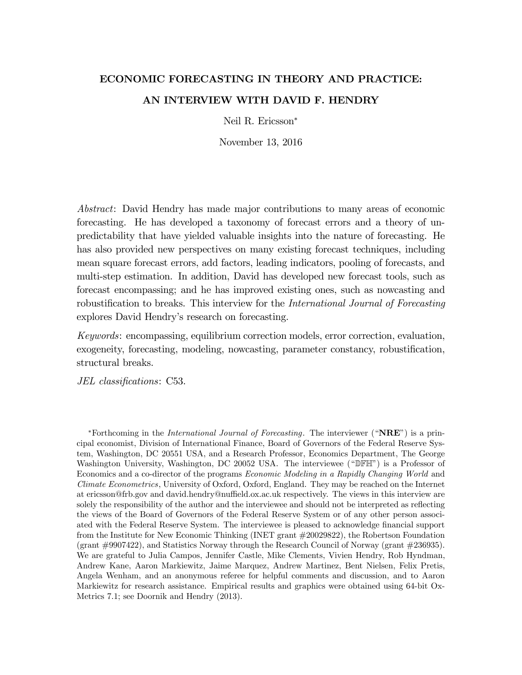# ECONOMIC FORECASTING IN THEORY AND PRACTICE: AN INTERVIEW WITH DAVID F. HENDRY

Neil R. Ericsson<sup>∗</sup>

November 13, 2016

Abstract: David Hendry has made major contributions to many areas of economic forecasting. He has developed a taxonomy of forecast errors and a theory of unpredictability that have yielded valuable insights into the nature of forecasting. He has also provided new perspectives on many existing forecast techniques, including mean square forecast errors, add factors, leading indicators, pooling of forecasts, and multi-step estimation. In addition, David has developed new forecast tools, such as forecast encompassing; and he has improved existing ones, such as nowcasting and robustification to breaks. This interview for the *International Journal of Forecasting* explores David Hendry's research on forecasting.

Keywords: encompassing, equilibrium correction models, error correction, evaluation, exogeneity, forecasting, modeling, nowcasting, parameter constancy, robustification, structural breaks.

JEL classifications: C53.

\*Forthcoming in the *International Journal of Forecasting*. The interviewer (" $NRE$ ") is a principal economist, Division of International Finance, Board of Governors of the Federal Reserve System, Washington, DC 20551 USA, and a Research Professor, Economics Department, The George Washington University, Washington, DC 20052 USA. The interviewee ("DFH") is a Professor of Economics and a co-director of the programs *Economic Modeling in a Rapidly Changing World* and Climate Econometrics, University of Oxford, Oxford, England. They may be reached on the Internet at ericsson@frb.gov and david.hendry@nuffield.ox.ac.uk respectively. The views in this interview are solely the responsibility of the author and the interviewee and should not be interpreted as reflecting the views of the Board of Governors of the Federal Reserve System or of any other person associated with the Federal Reserve System. The interviewee is pleased to acknowledge financial support from the Institute for New Economic Thinking (INET grant #20029822), the Robertson Foundation (grant #9907422), and Statistics Norway through the Research Council of Norway (grant #236935). We are grateful to Julia Campos, Jennifer Castle, Mike Clements, Vivien Hendry, Rob Hyndman, Andrew Kane, Aaron Markiewitz, Jaime Marquez, Andrew Martinez, Bent Nielsen, Felix Pretis, Angela Wenham, and an anonymous referee for helpful comments and discussion, and to Aaron Markiewitz for research assistance. Empirical results and graphics were obtained using 64-bit Ox-Metrics 7.1; see Doornik and Hendry (2013).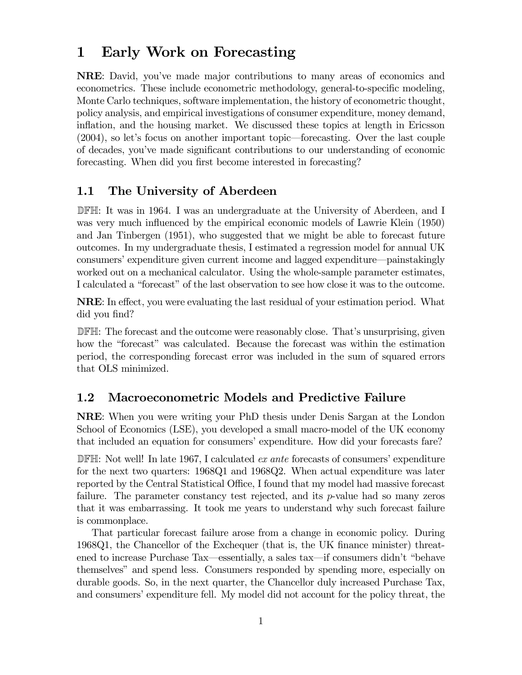# 1 Early Work on Forecasting

NRE: David, you've made major contributions to many areas of economics and econometrics. These include econometric methodology, general-to-specific modeling, Monte Carlo techniques, software implementation, the history of econometric thought, policy analysis, and empirical investigations of consumer expenditure, money demand, inflation, and the housing market. We discussed these topics at length in Ericsson (2004), so let's focus on another important topic–forecasting. Over the last couple of decades, you've made significant contributions to our understanding of economic forecasting. When did you first become interested in forecasting?

### 1.1 The University of Aberdeen

DFH: It was in 1964. I was an undergraduate at the University of Aberdeen, and I was very much influenced by the empirical economic models of Lawrie Klein (1950) and Jan Tinbergen (1951), who suggested that we might be able to forecast future outcomes. In my undergraduate thesis, I estimated a regression model for annual UK consumers' expenditure given current income and lagged expenditure–painstakingly worked out on a mechanical calculator. Using the whole-sample parameter estimates, I calculated a "forecast" of the last observation to see how close it was to the outcome.

NRE: In effect, you were evaluating the last residual of your estimation period. What did you find?

DFH: The forecast and the outcome were reasonably close. That's unsurprising, given how the "forecast" was calculated. Because the forecast was within the estimation period, the corresponding forecast error was included in the sum of squared errors that OLS minimized.

### 1.2 Macroeconometric Models and Predictive Failure

NRE: When you were writing your PhD thesis under Denis Sargan at the London School of Economics (LSE), you developed a small macro-model of the UK economy that included an equation for consumers' expenditure. How did your forecasts fare?

DFH: Not well! In late 1967, I calculated ex ante forecasts of consumers' expenditure for the next two quarters: 1968Q1 and 1968Q2. When actual expenditure was later reported by the Central Statistical Office, I found that my model had massive forecast failure. The parameter constancy test rejected, and its  $p$ -value had so many zeros that it was embarrassing. It took me years to understand why such forecast failure is commonplace.

That particular forecast failure arose from a change in economic policy. During 1968Q1, the Chancellor of the Exchequer (that is, the UK finance minister) threatened to increase Purchase Tax–essentially, a sales tax–if consumers didn't "behave themselves" and spend less. Consumers responded by spending more, especially on durable goods. So, in the next quarter, the Chancellor duly increased Purchase Tax, and consumers' expenditure fell. My model did not account for the policy threat, the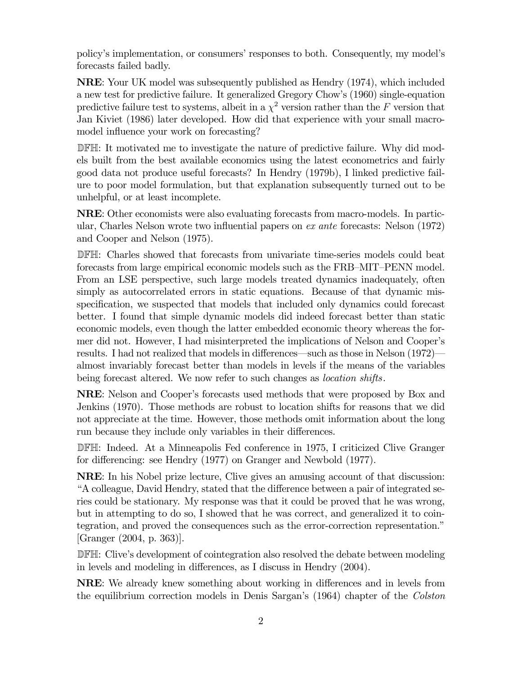policy's implementation, or consumers' responses to both. Consequently, my model's forecasts failed badly.

NRE: Your UK model was subsequently published as Hendry (1974), which included a new test for predictive failure. It generalized Gregory Chow's (1960) single-equation predictive failure test to systems, albeit in a  $\chi^2$  version rather than the F version that Jan Kiviet (1986) later developed. How did that experience with your small macromodel influence your work on forecasting?

DFH: It motivated me to investigate the nature of predictive failure. Why did models built from the best available economics using the latest econometrics and fairly good data not produce useful forecasts? In Hendry (1979b), I linked predictive failure to poor model formulation, but that explanation subsequently turned out to be unhelpful, or at least incomplete.

NRE: Other economists were also evaluating forecasts from macro-models. In particular, Charles Nelson wrote two influential papers on ex ante forecasts: Nelson (1972) and Cooper and Nelson (1975).

DFH: Charles showed that forecasts from univariate time-series models could beat forecasts from large empirical economic models such as the FRB—MIT—PENN model. From an LSE perspective, such large models treated dynamics inadequately, often simply as autocorrelated errors in static equations. Because of that dynamic misspecification, we suspected that models that included only dynamics could forecast better. I found that simple dynamic models did indeed forecast better than static economic models, even though the latter embedded economic theory whereas the former did not. However, I had misinterpreted the implications of Nelson and Cooper's results. I had not realized that models in differences–such as those in Nelson (1972)– almost invariably forecast better than models in levels if the means of the variables being forecast altered. We now refer to such changes as *location shifts*.

NRE: Nelson and Cooper's forecasts used methods that were proposed by Box and Jenkins (1970). Those methods are robust to location shifts for reasons that we did not appreciate at the time. However, those methods omit information about the long run because they include only variables in their differences.

DFH: Indeed. At a Minneapolis Fed conference in 1975, I criticized Clive Granger for differencing: see Hendry (1977) on Granger and Newbold (1977).

NRE: In his Nobel prize lecture, Clive gives an amusing account of that discussion: "A colleague, David Hendry, stated that the difference between a pair of integrated series could be stationary. My response was that it could be proved that he was wrong, but in attempting to do so, I showed that he was correct, and generalized it to cointegration, and proved the consequences such as the error-correction representation." [Granger (2004, p. 363)].

DFH: Clive's development of cointegration also resolved the debate between modeling in levels and modeling in differences, as I discuss in Hendry (2004).

NRE: We already knew something about working in differences and in levels from the equilibrium correction models in Denis Sargan's (1964) chapter of the Colston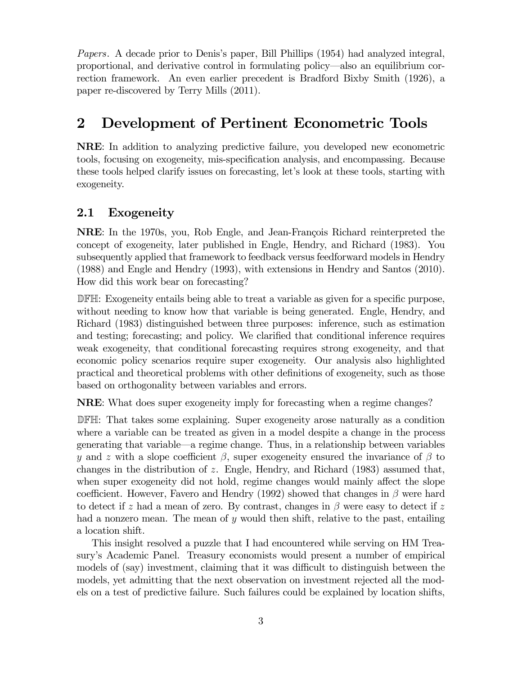Papers. A decade prior to Denis's paper, Bill Phillips (1954) had analyzed integral, proportional, and derivative control in formulating policy–also an equilibrium correction framework. An even earlier precedent is Bradford Bixby Smith (1926), a paper re-discovered by Terry Mills (2011).

# 2 Development of Pertinent Econometric Tools

NRE: In addition to analyzing predictive failure, you developed new econometric tools, focusing on exogeneity, mis-specification analysis, and encompassing. Because these tools helped clarify issues on forecasting, let's look at these tools, starting with exogeneity.

### 2.1 Exogeneity

NRE: In the 1970s, you, Rob Engle, and Jean-François Richard reinterpreted the concept of exogeneity, later published in Engle, Hendry, and Richard (1983). You subsequently applied that framework to feedback versus feedforward models in Hendry (1988) and Engle and Hendry (1993), with extensions in Hendry and Santos (2010). How did this work bear on forecasting?

DFH: Exogeneity entails being able to treat a variable as given for a specific purpose, without needing to know how that variable is being generated. Engle, Hendry, and Richard (1983) distinguished between three purposes: inference, such as estimation and testing; forecasting; and policy. We clarified that conditional inference requires weak exogeneity, that conditional forecasting requires strong exogeneity, and that economic policy scenarios require super exogeneity. Our analysis also highlighted practical and theoretical problems with other definitions of exogeneity, such as those based on orthogonality between variables and errors.

NRE: What does super exogeneity imply for forecasting when a regime changes?

DFH: That takes some explaining. Super exogeneity arose naturally as a condition where a variable can be treated as given in a model despite a change in the process generating that variable–a regime change. Thus, in a relationship between variables y and z with a slope coefficient  $\beta$ , super exogeneity ensured the invariance of  $\beta$  to changes in the distribution of  $z$ . Engle, Hendry, and Richard (1983) assumed that, when super exogeneity did not hold, regime changes would mainly affect the slope coefficient. However, Favero and Hendry (1992) showed that changes in  $\beta$  were hard to detect if  $z$  had a mean of zero. By contrast, changes in  $\beta$  were easy to detect if  $z$ had a nonzero mean. The mean of  $y$  would then shift, relative to the past, entailing a location shift.

This insight resolved a puzzle that I had encountered while serving on HM Treasury's Academic Panel. Treasury economists would present a number of empirical models of (say) investment, claiming that it was difficult to distinguish between the models, yet admitting that the next observation on investment rejected all the models on a test of predictive failure. Such failures could be explained by location shifts,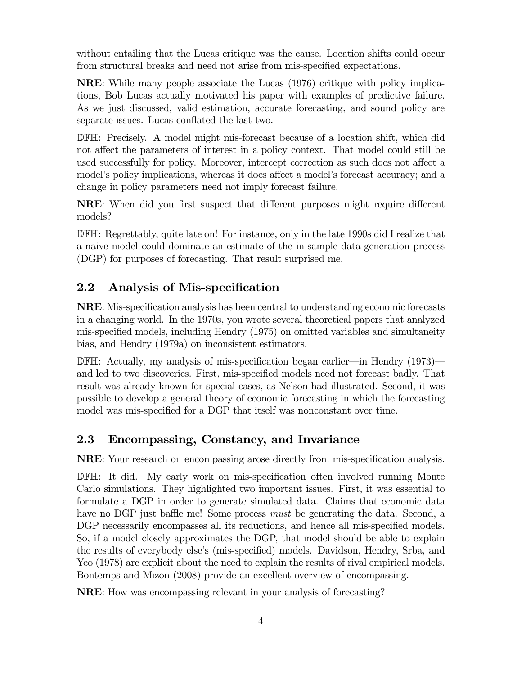without entailing that the Lucas critique was the cause. Location shifts could occur from structural breaks and need not arise from mis-specified expectations.

NRE: While many people associate the Lucas (1976) critique with policy implications, Bob Lucas actually motivated his paper with examples of predictive failure. As we just discussed, valid estimation, accurate forecasting, and sound policy are separate issues. Lucas conflated the last two.

DFH: Precisely. A model might mis-forecast because of a location shift, which did not affect the parameters of interest in a policy context. That model could still be used successfully for policy. Moreover, intercept correction as such does not affect a model's policy implications, whereas it does affect a model's forecast accuracy; and a change in policy parameters need not imply forecast failure.

NRE: When did you first suspect that different purposes might require different models?

DFH: Regrettably, quite late on! For instance, only in the late 1990s did I realize that a naive model could dominate an estimate of the in-sample data generation process (DGP) for purposes of forecasting. That result surprised me.

## 2.2 Analysis of Mis-specification

NRE: Mis-specification analysis has been central to understanding economic forecasts in a changing world. In the 1970s, you wrote several theoretical papers that analyzed mis-specified models, including Hendry (1975) on omitted variables and simultaneity bias, and Hendry (1979a) on inconsistent estimators.

DFH: Actually, my analysis of mis-specification began earlier–in Hendry (1973)– and led to two discoveries. First, mis-specified models need not forecast badly. That result was already known for special cases, as Nelson had illustrated. Second, it was possible to develop a general theory of economic forecasting in which the forecasting model was mis-specified for a DGP that itself was nonconstant over time.

## 2.3 Encompassing, Constancy, and Invariance

NRE: Your research on encompassing arose directly from mis-specification analysis.

DFH: It did. My early work on mis-specification often involved running Monte Carlo simulations. They highlighted two important issues. First, it was essential to formulate a DGP in order to generate simulated data. Claims that economic data have no DGP just baffle me! Some process *must* be generating the data. Second, a DGP necessarily encompasses all its reductions, and hence all mis-specified models. So, if a model closely approximates the DGP, that model should be able to explain the results of everybody else's (mis-specified) models. Davidson, Hendry, Srba, and Yeo (1978) are explicit about the need to explain the results of rival empirical models. Bontemps and Mizon (2008) provide an excellent overview of encompassing.

NRE: How was encompassing relevant in your analysis of forecasting?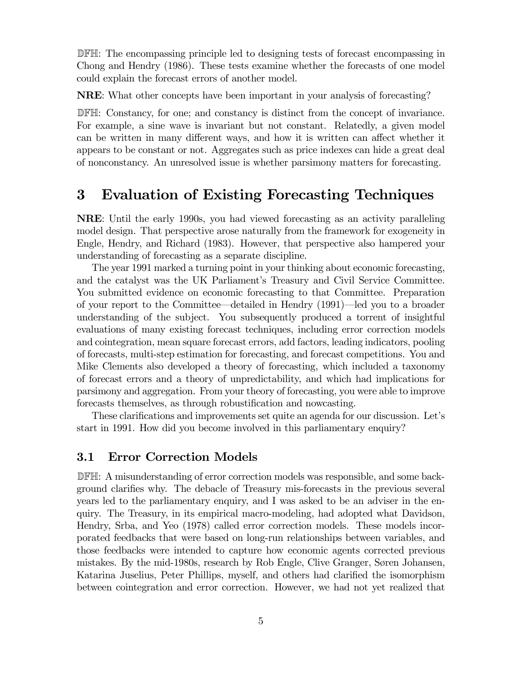DFH: The encompassing principle led to designing tests of forecast encompassing in Chong and Hendry (1986). These tests examine whether the forecasts of one model could explain the forecast errors of another model.

NRE: What other concepts have been important in your analysis of forecasting?

DFH: Constancy, for one; and constancy is distinct from the concept of invariance. For example, a sine wave is invariant but not constant. Relatedly, a given model can be written in many different ways, and how it is written can affect whether it appears to be constant or not. Aggregates such as price indexes can hide a great deal of nonconstancy. An unresolved issue is whether parsimony matters for forecasting.

# 3 Evaluation of Existing Forecasting Techniques

NRE: Until the early 1990s, you had viewed forecasting as an activity paralleling model design. That perspective arose naturally from the framework for exogeneity in Engle, Hendry, and Richard (1983). However, that perspective also hampered your understanding of forecasting as a separate discipline.

The year 1991 marked a turning point in your thinking about economic forecasting, and the catalyst was the UK Parliament's Treasury and Civil Service Committee. You submitted evidence on economic forecasting to that Committee. Preparation of your report to the Committee–detailed in Hendry (1991)–led you to a broader understanding of the subject. You subsequently produced a torrent of insightful evaluations of many existing forecast techniques, including error correction models and cointegration, mean square forecast errors, add factors, leading indicators, pooling of forecasts, multi-step estimation for forecasting, and forecast competitions. You and Mike Clements also developed a theory of forecasting, which included a taxonomy of forecast errors and a theory of unpredictability, and which had implications for parsimony and aggregation. From your theory of forecasting, you were able to improve forecasts themselves, as through robustification and nowcasting.

These clarifications and improvements set quite an agenda for our discussion. Let's start in 1991. How did you become involved in this parliamentary enquiry?

#### 3.1 Error Correction Models

DFH: A misunderstanding of error correction models was responsible, and some background clarifies why. The debacle of Treasury mis-forecasts in the previous several years led to the parliamentary enquiry, and I was asked to be an adviser in the enquiry. The Treasury, in its empirical macro-modeling, had adopted what Davidson, Hendry, Srba, and Yeo (1978) called error correction models. These models incorporated feedbacks that were based on long-run relationships between variables, and those feedbacks were intended to capture how economic agents corrected previous mistakes. By the mid-1980s, research by Rob Engle, Clive Granger, Søren Johansen, Katarina Juselius, Peter Phillips, myself, and others had clarified the isomorphism between cointegration and error correction. However, we had not yet realized that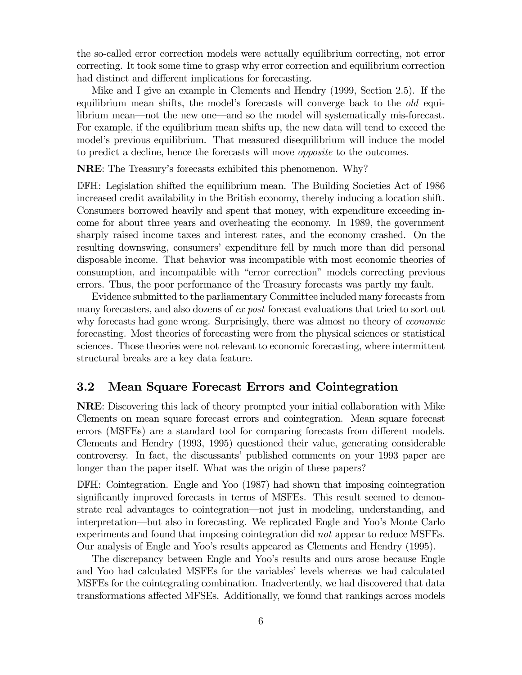the so-called error correction models were actually equilibrium correcting, not error correcting. It took some time to grasp why error correction and equilibrium correction had distinct and different implications for forecasting.

Mike and I give an example in Clements and Hendry (1999, Section 2.5). If the equilibrium mean shifts, the model's forecasts will converge back to the *old* equilibrium mean–not the new one–and so the model will systematically mis-forecast. For example, if the equilibrium mean shifts up, the new data will tend to exceed the model's previous equilibrium. That measured disequilibrium will induce the model to predict a decline, hence the forecasts will move opposite to the outcomes.

NRE: The Treasury's forecasts exhibited this phenomenon. Why?

DFH: Legislation shifted the equilibrium mean. The Building Societies Act of 1986 increased credit availability in the British economy, thereby inducing a location shift. Consumers borrowed heavily and spent that money, with expenditure exceeding income for about three years and overheating the economy. In 1989, the government sharply raised income taxes and interest rates, and the economy crashed. On the resulting downswing, consumers' expenditure fell by much more than did personal disposable income. That behavior was incompatible with most economic theories of consumption, and incompatible with "error correction" models correcting previous errors. Thus, the poor performance of the Treasury forecasts was partly my fault.

Evidence submitted to the parliamentary Committee included many forecasts from many forecasters, and also dozens of ex post forecast evaluations that tried to sort out why forecasts had gone wrong. Surprisingly, there was almost no theory of *economic* forecasting. Most theories of forecasting were from the physical sciences or statistical sciences. Those theories were not relevant to economic forecasting, where intermittent structural breaks are a key data feature.

#### 3.2 Mean Square Forecast Errors and Cointegration

NRE: Discovering this lack of theory prompted your initial collaboration with Mike Clements on mean square forecast errors and cointegration. Mean square forecast errors (MSFEs) are a standard tool for comparing forecasts from different models. Clements and Hendry (1993, 1995) questioned their value, generating considerable controversy. In fact, the discussants' published comments on your 1993 paper are longer than the paper itself. What was the origin of these papers?

DFH: Cointegration. Engle and Yoo (1987) had shown that imposing cointegration significantly improved forecasts in terms of MSFEs. This result seemed to demonstrate real advantages to cointegration–not just in modeling, understanding, and interpretation–but also in forecasting. We replicated Engle and Yoo's Monte Carlo experiments and found that imposing cointegration did not appear to reduce MSFEs. Our analysis of Engle and Yoo's results appeared as Clements and Hendry (1995).

The discrepancy between Engle and Yoo's results and ours arose because Engle and Yoo had calculated MSFEs for the variables' levels whereas we had calculated MSFEs for the cointegrating combination. Inadvertently, we had discovered that data transformations affected MFSEs. Additionally, we found that rankings across models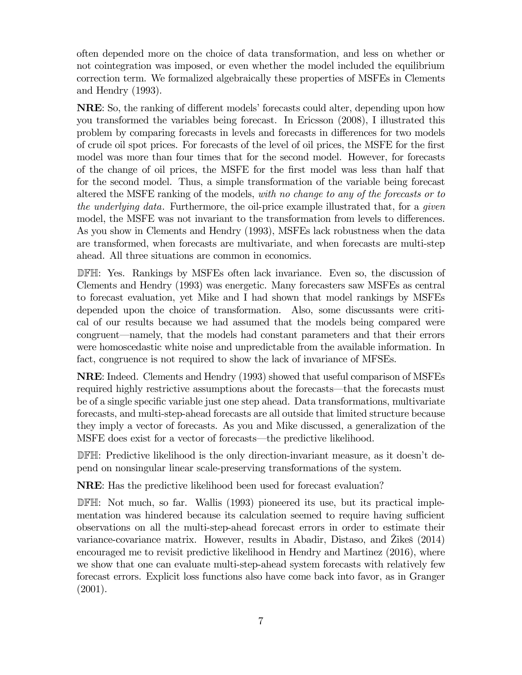often depended more on the choice of data transformation, and less on whether or not cointegration was imposed, or even whether the model included the equilibrium correction term. We formalized algebraically these properties of MSFEs in Clements and Hendry (1993).

NRE: So, the ranking of different models' forecasts could alter, depending upon how you transformed the variables being forecast. In Ericsson (2008), I illustrated this problem by comparing forecasts in levels and forecasts in differences for two models of crude oil spot prices. For forecasts of the level of oil prices, the MSFE for the first model was more than four times that for the second model. However, for forecasts of the change of oil prices, the MSFE for the first model was less than half that for the second model. Thus, a simple transformation of the variable being forecast altered the MSFE ranking of the models, with no change to any of the forecasts or to the underlying data. Furthermore, the oil-price example illustrated that, for a given model, the MSFE was not invariant to the transformation from levels to differences. As you show in Clements and Hendry (1993), MSFEs lack robustness when the data are transformed, when forecasts are multivariate, and when forecasts are multi-step ahead. All three situations are common in economics.

DFH: Yes. Rankings by MSFEs often lack invariance. Even so, the discussion of Clements and Hendry (1993) was energetic. Many forecasters saw MSFEs as central to forecast evaluation, yet Mike and I had shown that model rankings by MSFEs depended upon the choice of transformation. Also, some discussants were critical of our results because we had assumed that the models being compared were congruent–namely, that the models had constant parameters and that their errors were homoscedastic white noise and unpredictable from the available information. In fact, congruence is not required to show the lack of invariance of MFSEs.

NRE: Indeed. Clements and Hendry (1993) showed that useful comparison of MSFEs required highly restrictive assumptions about the forecasts–that the forecasts must be of a single specific variable just one step ahead. Data transformations, multivariate forecasts, and multi-step-ahead forecasts are all outside that limited structure because they imply a vector of forecasts. As you and Mike discussed, a generalization of the MSFE does exist for a vector of forecasts–the predictive likelihood.

DFH: Predictive likelihood is the only direction-invariant measure, as it doesn't depend on nonsingular linear scale-preserving transformations of the system.

NRE: Has the predictive likelihood been used for forecast evaluation?

DFH: Not much, so far. Wallis (1993) pioneered its use, but its practical implementation was hindered because its calculation seemed to require having sufficient observations on all the multi-step-ahead forecast errors in order to estimate their variance-covariance matrix. However, results in Abadir, Distaso, and  $\ddot{Z}$ ikes (2014) encouraged me to revisit predictive likelihood in Hendry and Martinez (2016), where we show that one can evaluate multi-step-ahead system forecasts with relatively few forecast errors. Explicit loss functions also have come back into favor, as in Granger (2001).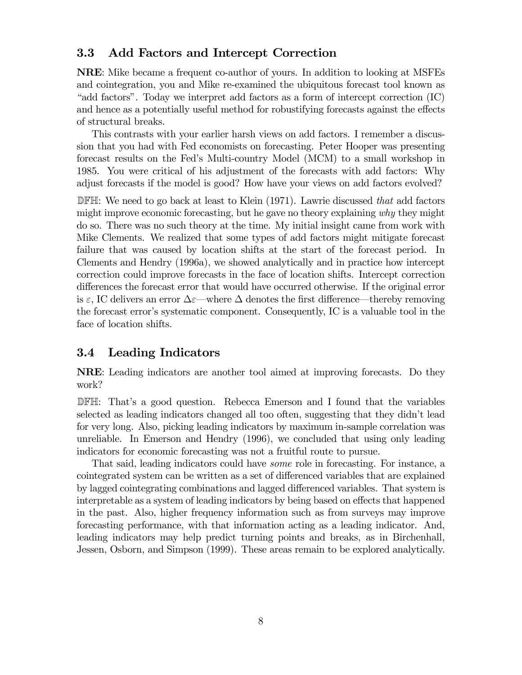### 3.3 Add Factors and Intercept Correction

NRE: Mike became a frequent co-author of yours. In addition to looking at MSFEs and cointegration, you and Mike re-examined the ubiquitous forecast tool known as "add factors". Today we interpret add factors as a form of intercept correction (IC) and hence as a potentially useful method for robustifying forecasts against the effects of structural breaks.

This contrasts with your earlier harsh views on add factors. I remember a discussion that you had with Fed economists on forecasting. Peter Hooper was presenting forecast results on the Fed's Multi-country Model (MCM) to a small workshop in 1985. You were critical of his adjustment of the forecasts with add factors: Why adjust forecasts if the model is good? How have your views on add factors evolved?

 $\mathbb{D}$  FH: We need to go back at least to Klein (1971). Lawrie discussed that add factors might improve economic forecasting, but he gave no theory explaining why they might do so. There was no such theory at the time. My initial insight came from work with Mike Clements. We realized that some types of add factors might mitigate forecast failure that was caused by location shifts at the start of the forecast period. In Clements and Hendry (1996a), we showed analytically and in practice how intercept correction could improve forecasts in the face of location shifts. Intercept correction differences the forecast error that would have occurred otherwise. If the original error is  $\varepsilon$ , IC delivers an error  $\Delta \varepsilon$ —where  $\Delta$  denotes the first difference—thereby removing the forecast error's systematic component. Consequently, IC is a valuable tool in the face of location shifts.

### 3.4 Leading Indicators

NRE: Leading indicators are another tool aimed at improving forecasts. Do they work?

DFH: That's a good question. Rebecca Emerson and I found that the variables selected as leading indicators changed all too often, suggesting that they didn't lead for very long. Also, picking leading indicators by maximum in-sample correlation was unreliable. In Emerson and Hendry (1996), we concluded that using only leading indicators for economic forecasting was not a fruitful route to pursue.

That said, leading indicators could have some role in forecasting. For instance, a cointegrated system can be written as a set of differenced variables that are explained by lagged cointegrating combinations and lagged differenced variables. That system is interpretable as a system of leading indicators by being based on effects that happened in the past. Also, higher frequency information such as from surveys may improve forecasting performance, with that information acting as a leading indicator. And, leading indicators may help predict turning points and breaks, as in Birchenhall, Jessen, Osborn, and Simpson (1999). These areas remain to be explored analytically.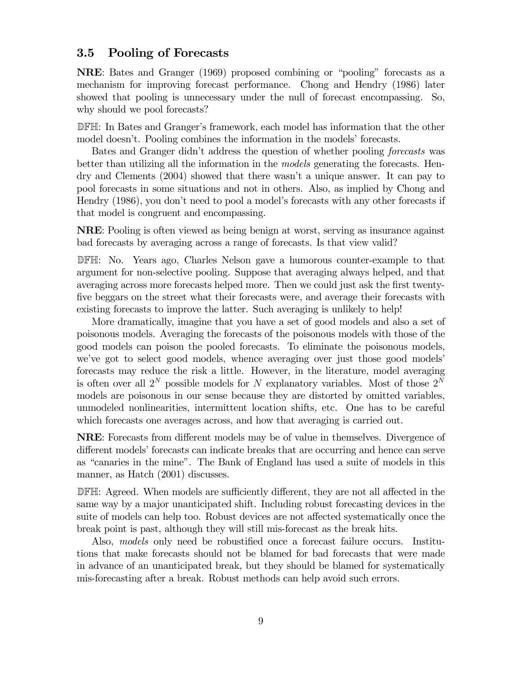### 3.5 Pooling of Forecasts

NRE: Bates and Granger (1969) proposed combining or "pooling" forecasts as a mechanism for improving forecast performance. Chong and Hendry (1986) later showed that pooling is unnecessary under the null of forecast encompassing. So, why should we pool forecasts?

DFH: In Bates and Granger's framework, each model has information that the other model doesn't. Pooling combines the information in the models' forecasts.

Bates and Granger didn't address the question of whether pooling forecasts was better than utilizing all the information in the *models* generating the forecasts. Hendry and Clements (2004) showed that there wasn't a unique answer. It can pay to pool forecasts in some situations and not in others. Also, as implied by Chong and Hendry (1986), you don't need to pool a model's forecasts with any other forecasts if that model is congruent and encompassing.

NRE: Pooling is often viewed as being benign at worst, serving as insurance against bad forecasts by averaging across a range of forecasts. Is that view valid?

DFH: No. Years ago, Charles Nelson gave a humorous counter-example to that argument for non-selective pooling. Suppose that averaging always helped, and that averaging across more forecasts helped more. Then we could just ask the first twentyfive beggars on the street what their forecasts were, and average their forecasts with existing forecasts to improve the latter. Such averaging is unlikely to help!

More dramatically, imagine that you have a set of good models and also a set of poisonous models. Averaging the forecasts of the poisonous models with those of the good models can poison the pooled forecasts. To eliminate the poisonous models, we've got to select good models, whence averaging over just those good models' forecasts may reduce the risk a little. However, in the literature, model averaging is often over all  $2^N$  possible models for N explanatory variables. Most of those  $2^N$ models are poisonous in our sense because they are distorted by omitted variables, unmodeled nonlinearities, intermittent location shifts, etc. One has to be careful which forecasts one averages across, and how that averaging is carried out.

NRE: Forecasts from different models may be of value in themselves. Divergence of different models' forecasts can indicate breaks that are occurring and hence can serve as "canaries in the mine". The Bank of England has used a suite of models in this manner, as Hatch (2001) discusses.

DFH: Agreed. When models are sufficiently different, they are not all affected in the same way by a major unanticipated shift. Including robust forecasting devices in the suite of models can help too. Robust devices are not affected systematically once the break point is past, although they will still mis-forecast as the break hits.

Also, models only need be robustified once a forecast failure occurs. Institutions that make forecasts should not be blamed for bad forecasts that were made in advance of an unanticipated break, but they should be blamed for systematically mis-forecasting after a break. Robust methods can help avoid such errors.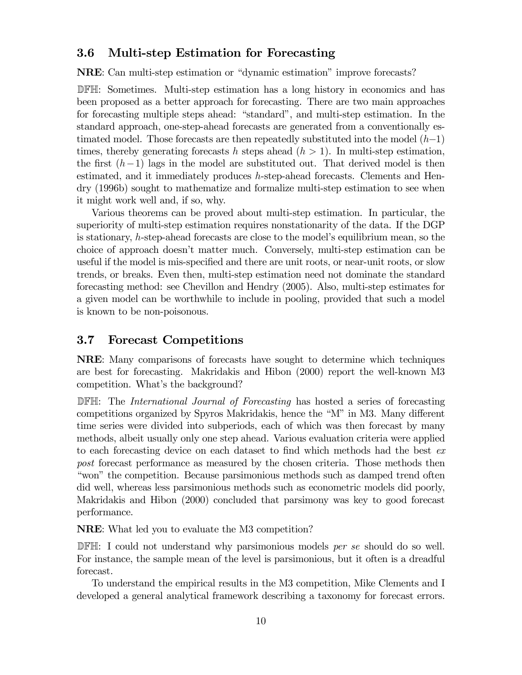### 3.6 Multi-step Estimation for Forecasting

NRE: Can multi-step estimation or "dynamic estimation" improve forecasts?

DFH: Sometimes. Multi-step estimation has a long history in economics and has been proposed as a better approach for forecasting. There are two main approaches for forecasting multiple steps ahead: "standard", and multi-step estimation. In the standard approach, one-step-ahead forecasts are generated from a conventionally estimated model. Those forecasts are then repeatedly substituted into the model  $(h-1)$ times, thereby generating forecasts h steps ahead  $(h > 1)$ . In multi-step estimation, the first  $(h-1)$  lags in the model are substituted out. That derived model is then estimated, and it immediately produces  $h$ -step-ahead forecasts. Clements and Hendry (1996b) sought to mathematize and formalize multi-step estimation to see when it might work well and, if so, why.

Various theorems can be proved about multi-step estimation. In particular, the superiority of multi-step estimation requires nonstationarity of the data. If the DGP is stationary, k-step-ahead forecasts are close to the model's equilibrium mean, so the choice of approach doesn't matter much. Conversely, multi-step estimation can be useful if the model is mis-specified and there are unit roots, or near-unit roots, or slow trends, or breaks. Even then, multi-step estimation need not dominate the standard forecasting method: see Chevillon and Hendry (2005). Also, multi-step estimates for a given model can be worthwhile to include in pooling, provided that such a model is known to be non-poisonous.

#### 3.7 Forecast Competitions

NRE: Many comparisons of forecasts have sought to determine which techniques are best for forecasting. Makridakis and Hibon (2000) report the well-known M3 competition. What's the background?

DFH: The *International Journal of Forecasting* has hosted a series of forecasting competitions organized by Spyros Makridakis, hence the "M" in M3. Many different time series were divided into subperiods, each of which was then forecast by many methods, albeit usually only one step ahead. Various evaluation criteria were applied to each forecasting device on each dataset to find which methods had the best ex post forecast performance as measured by the chosen criteria. Those methods then "won" the competition. Because parsimonious methods such as damped trend often did well, whereas less parsimonious methods such as econometric models did poorly, Makridakis and Hibon (2000) concluded that parsimony was key to good forecast performance.

NRE: What led you to evaluate the M3 competition?

DFH: I could not understand why parsimonious models *per se* should do so well. For instance, the sample mean of the level is parsimonious, but it often is a dreadful forecast.

To understand the empirical results in the M3 competition, Mike Clements and I developed a general analytical framework describing a taxonomy for forecast errors.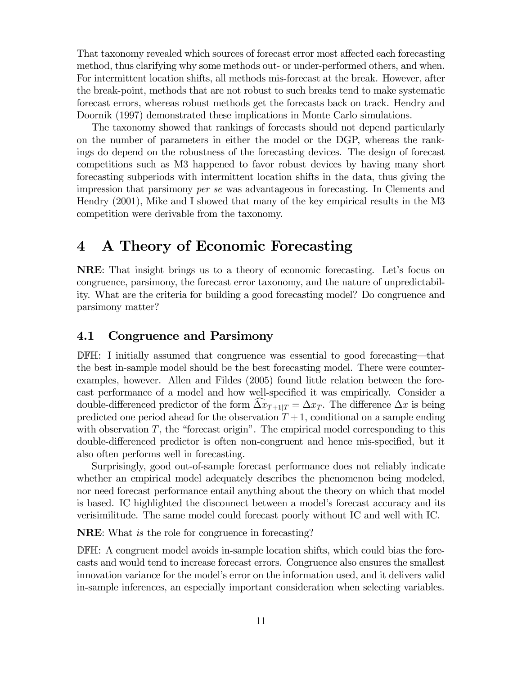That taxonomy revealed which sources of forecast error most affected each forecasting method, thus clarifying why some methods out- or under-performed others, and when. For intermittent location shifts, all methods mis-forecast at the break. However, after the break-point, methods that are not robust to such breaks tend to make systematic forecast errors, whereas robust methods get the forecasts back on track. Hendry and Doornik (1997) demonstrated these implications in Monte Carlo simulations.

The taxonomy showed that rankings of forecasts should not depend particularly on the number of parameters in either the model or the DGP, whereas the rankings do depend on the robustness of the forecasting devices. The design of forecast competitions such as M3 happened to favor robust devices by having many short forecasting subperiods with intermittent location shifts in the data, thus giving the impression that parsimony per se was advantageous in forecasting. In Clements and Hendry (2001), Mike and I showed that many of the key empirical results in the M3 competition were derivable from the taxonomy.

## 4 A Theory of Economic Forecasting

NRE: That insight brings us to a theory of economic forecasting. Let's focus on congruence, parsimony, the forecast error taxonomy, and the nature of unpredictability. What are the criteria for building a good forecasting model? Do congruence and parsimony matter?

#### 4.1 Congruence and Parsimony

DFH: I initially assumed that congruence was essential to good forecasting–that the best in-sample model should be the best forecasting model. There were counterexamples, however. Allen and Fildes (2005) found little relation between the forecast performance of a model and how well-specified it was empirically. Consider a double-differenced predictor of the form  $\Delta x_{T+1|T} = \Delta x_T$ . The difference  $\Delta x$  is being predicted one period ahead for the observation  $T+1$ , conditional on a sample ending with observation  $T$ , the "forecast origin". The empirical model corresponding to this double-differenced predictor is often non-congruent and hence mis-specified, but it also often performs well in forecasting.

Surprisingly, good out-of-sample forecast performance does not reliably indicate whether an empirical model adequately describes the phenomenon being modeled, nor need forecast performance entail anything about the theory on which that model is based. IC highlighted the disconnect between a model's forecast accuracy and its verisimilitude. The same model could forecast poorly without IC and well with IC.

NRE: What is the role for congruence in forecasting?

DFH: A congruent model avoids in-sample location shifts, which could bias the forecasts and would tend to increase forecast errors. Congruence also ensures the smallest innovation variance for the model's error on the information used, and it delivers valid in-sample inferences, an especially important consideration when selecting variables.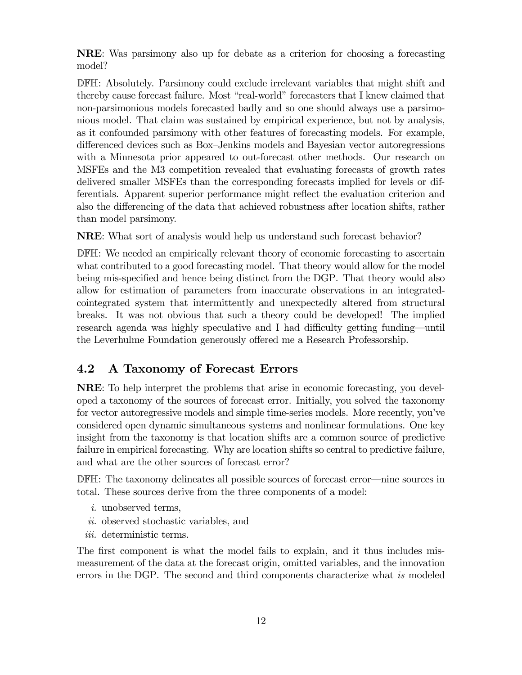NRE: Was parsimony also up for debate as a criterion for choosing a forecasting model?

DFH: Absolutely. Parsimony could exclude irrelevant variables that might shift and thereby cause forecast failure. Most "real-world" forecasters that I knew claimed that non-parsimonious models forecasted badly and so one should always use a parsimonious model. That claim was sustained by empirical experience, but not by analysis, as it confounded parsimony with other features of forecasting models. For example, differenced devices such as Box—Jenkins models and Bayesian vector autoregressions with a Minnesota prior appeared to out-forecast other methods. Our research on MSFEs and the M3 competition revealed that evaluating forecasts of growth rates delivered smaller MSFEs than the corresponding forecasts implied for levels or differentials. Apparent superior performance might reflect the evaluation criterion and also the differencing of the data that achieved robustness after location shifts, rather than model parsimony.

NRE: What sort of analysis would help us understand such forecast behavior?

DFH: We needed an empirically relevant theory of economic forecasting to ascertain what contributed to a good forecasting model. That theory would allow for the model being mis-specified and hence being distinct from the DGP. That theory would also allow for estimation of parameters from inaccurate observations in an integratedcointegrated system that intermittently and unexpectedly altered from structural breaks. It was not obvious that such a theory could be developed! The implied research agenda was highly speculative and I had difficulty getting funding–until the Leverhulme Foundation generously offered me a Research Professorship.

### 4.2 A Taxonomy of Forecast Errors

NRE: To help interpret the problems that arise in economic forecasting, you developed a taxonomy of the sources of forecast error. Initially, you solved the taxonomy for vector autoregressive models and simple time-series models. More recently, you've considered open dynamic simultaneous systems and nonlinear formulations. One key insight from the taxonomy is that location shifts are a common source of predictive failure in empirical forecasting. Why are location shifts so central to predictive failure, and what are the other sources of forecast error?

DFH: The taxonomy delineates all possible sources of forecast error–nine sources in total. These sources derive from the three components of a model:

- i. unobserved terms,
- ii. observed stochastic variables, and
- iii. deterministic terms.

The first component is what the model fails to explain, and it thus includes mismeasurement of the data at the forecast origin, omitted variables, and the innovation errors in the DGP. The second and third components characterize what is modeled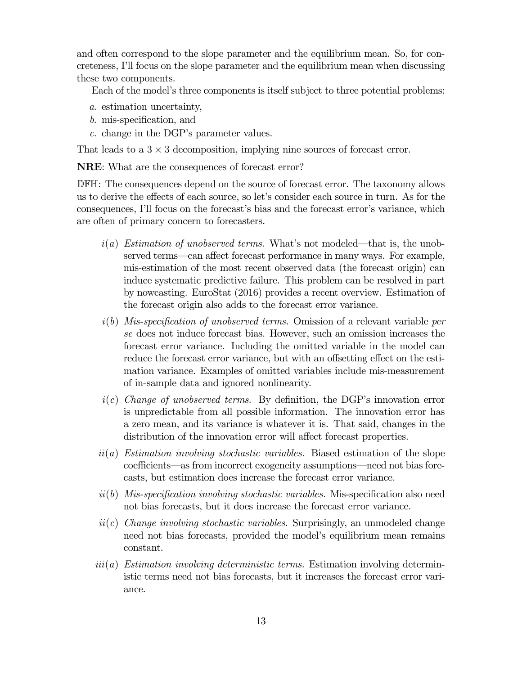and often correspond to the slope parameter and the equilibrium mean. So, for concreteness, I'll focus on the slope parameter and the equilibrium mean when discussing these two components.

Each of the model's three components is itself subject to three potential problems:

- a. estimation uncertainty,
- b. mis-specification, and
- c. change in the DGP's parameter values.

That leads to a  $3 \times 3$  decomposition, implying nine sources of forecast error.

NRE: What are the consequences of forecast error?

DFH: The consequences depend on the source of forecast error. The taxonomy allows us to derive the effects of each source, so let's consider each source in turn. As for the consequences, I'll focus on the forecast's bias and the forecast error's variance, which are often of primary concern to forecasters.

- $i(a)$  Estimation of unobserved terms. What's not modeled—that is, the unobserved terms–can affect forecast performance in many ways. For example, mis-estimation of the most recent observed data (the forecast origin) can induce systematic predictive failure. This problem can be resolved in part by nowcasting. EuroStat (2016) provides a recent overview. Estimation of the forecast origin also adds to the forecast error variance.
- $i(b)$  Mis-specification of unobserved terms. Omission of a relevant variable per se does not induce forecast bias. However, such an omission increases the forecast error variance. Including the omitted variable in the model can reduce the forecast error variance, but with an offsetting effect on the estimation variance. Examples of omitted variables include mis-measurement of in-sample data and ignored nonlinearity.
- $i(c)$  Change of unobserved terms. By definition, the DGP's innovation error is unpredictable from all possible information. The innovation error has a zero mean, and its variance is whatever it is. That said, changes in the distribution of the innovation error will affect forecast properties.
- $ii(a)$  Estimation involving stochastic variables. Biased estimation of the slope coefficients–as from incorrect exogeneity assumptions–need not bias forecasts, but estimation does increase the forecast error variance.
- $ii(b)$  Mis-specification involving stochastic variables. Mis-specification also need not bias forecasts, but it does increase the forecast error variance.
- $ii(c)$  Change involving stochastic variables. Surprisingly, an unmodeled change need not bias forecasts, provided the model's equilibrium mean remains constant.
- $ii(i)$  Estimation involving deterministic terms. Estimation involving deterministic terms need not bias forecasts, but it increases the forecast error variance.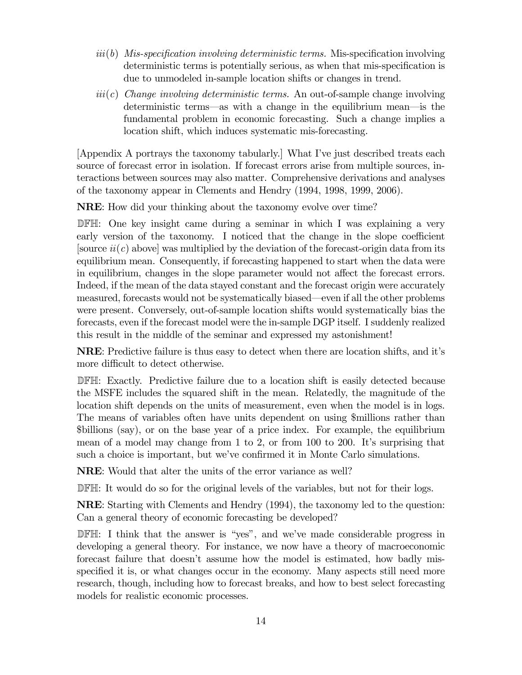- $iii(b)$  Mis-specification involving deterministic terms. Mis-specification involving deterministic terms is potentially serious, as when that mis-specification is due to unmodeled in-sample location shifts or changes in trend.
- $iii(c)$  Change involving deterministic terms. An out-of-sample change involving deterministic terms–as with a change in the equilibrium mean–is the fundamental problem in economic forecasting. Such a change implies a location shift, which induces systematic mis-forecasting.

[Appendix A portrays the taxonomy tabularly.] What I've just described treats each source of forecast error in isolation. If forecast errors arise from multiple sources, interactions between sources may also matter. Comprehensive derivations and analyses of the taxonomy appear in Clements and Hendry (1994, 1998, 1999, 2006).

NRE: How did your thinking about the taxonomy evolve over time?

DFH: One key insight came during a seminar in which I was explaining a very early version of the taxonomy. I noticed that the change in the slope coefficient [source  $ii(c)$  above] was multiplied by the deviation of the forecast-origin data from its equilibrium mean. Consequently, if forecasting happened to start when the data were in equilibrium, changes in the slope parameter would not affect the forecast errors. Indeed, if the mean of the data stayed constant and the forecast origin were accurately measured, forecasts would not be systematically biased–even if all the other problems were present. Conversely, out-of-sample location shifts would systematically bias the forecasts, even if the forecast model were the in-sample DGP itself. I suddenly realized this result in the middle of the seminar and expressed my astonishment!

NRE: Predictive failure is thus easy to detect when there are location shifts, and it's more difficult to detect otherwise.

DFH: Exactly. Predictive failure due to a location shift is easily detected because the MSFE includes the squared shift in the mean. Relatedly, the magnitude of the location shift depends on the units of measurement, even when the model is in logs. The means of variables often have units dependent on using \$millions rather than \$billions (say), or on the base year of a price index. For example, the equilibrium mean of a model may change from 1 to 2, or from 100 to 200. It's surprising that such a choice is important, but we've confirmed it in Monte Carlo simulations.

NRE: Would that alter the units of the error variance as well?

DFH: It would do so for the original levels of the variables, but not for their logs.

NRE: Starting with Clements and Hendry (1994), the taxonomy led to the question: Can a general theory of economic forecasting be developed?

DFH: I think that the answer is "yes", and we've made considerable progress in developing a general theory. For instance, we now have a theory of macroeconomic forecast failure that doesn't assume how the model is estimated, how badly misspecified it is, or what changes occur in the economy. Many aspects still need more research, though, including how to forecast breaks, and how to best select forecasting models for realistic economic processes.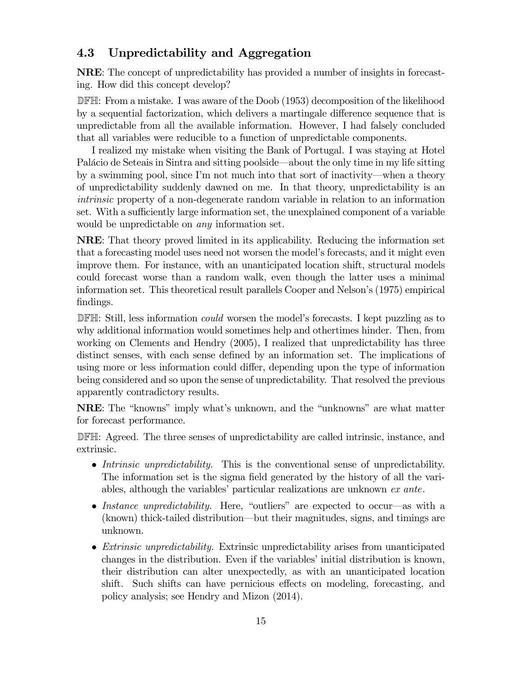### 4.3 Unpredictability and Aggregation

NRE: The concept of unpredictability has provided a number of insights in forecasting. How did this concept develop?

DFH: From a mistake. I was aware of the Doob (1953) decomposition of the likelihood by a sequential factorization, which delivers a martingale difference sequence that is unpredictable from all the available information. However, I had falsely concluded that all variables were reducible to a function of unpredictable components.

I realized my mistake when visiting the Bank of Portugal. I was staying at Hotel Palácio de Seteais in Sintra and sitting poolside–about the only time in my life sitting by a swimming pool, since I'm not much into that sort of inactivity–when a theory of unpredictability suddenly dawned on me. In that theory, unpredictability is an intrinsic property of a non-degenerate random variable in relation to an information set. With a sufficiently large information set, the unexplained component of a variable would be unpredictable on *any* information set.

NRE: That theory proved limited in its applicability. Reducing the information set that a forecasting model uses need not worsen the model's forecasts, and it might even improve them. For instance, with an unanticipated location shift, structural models could forecast worse than a random walk, even though the latter uses a minimal information set. This theoretical result parallels Cooper and Nelson's (1975) empirical findings.

DFH: Still, less information *could* worsen the model's forecasts. I kept puzzling as to why additional information would sometimes help and othertimes hinder. Then, from working on Clements and Hendry (2005), I realized that unpredictability has three distinct senses, with each sense defined by an information set. The implications of using more or less information could differ, depending upon the type of information being considered and so upon the sense of unpredictability. That resolved the previous apparently contradictory results.

NRE: The "knowns" imply what's unknown, and the "unknowns" are what matter for forecast performance.

DFH: Agreed. The three senses of unpredictability are called intrinsic, instance, and extrinsic.

- Intrinsic unpredictability. This is the conventional sense of unpredictability. The information set is the sigma field generated by the history of all the variables, although the variables' particular realizations are unknown ex ante.
- Instance unpredictability. Here, "outliers" are expected to occur—as with a (known) thick-tailed distribution–but their magnitudes, signs, and timings are unknown.
- Extrinsic unpredictability. Extrinsic unpredictability arises from unanticipated changes in the distribution. Even if the variables' initial distribution is known, their distribution can alter unexpectedly, as with an unanticipated location shift. Such shifts can have pernicious effects on modeling, forecasting, and policy analysis; see Hendry and Mizon (2014).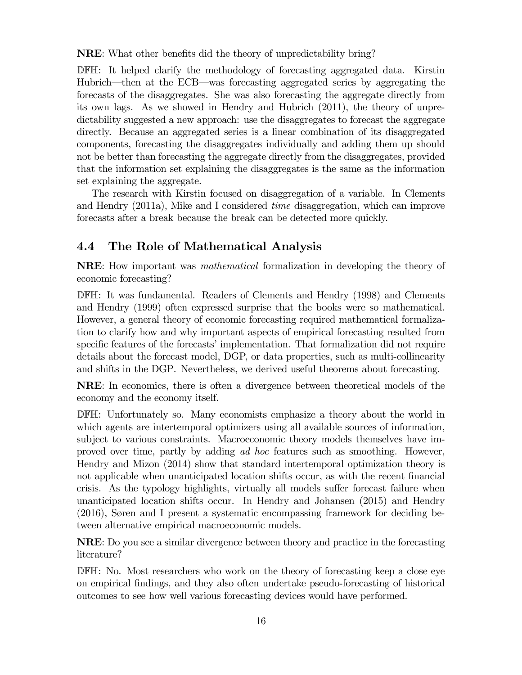NRE: What other benefits did the theory of unpredictability bring?

DFH: It helped clarify the methodology of forecasting aggregated data. Kirstin Hubrich–then at the ECB–was forecasting aggregated series by aggregating the forecasts of the disaggregates. She was also forecasting the aggregate directly from its own lags. As we showed in Hendry and Hubrich (2011), the theory of unpredictability suggested a new approach: use the disaggregates to forecast the aggregate directly. Because an aggregated series is a linear combination of its disaggregated components, forecasting the disaggregates individually and adding them up should not be better than forecasting the aggregate directly from the disaggregates, provided that the information set explaining the disaggregates is the same as the information set explaining the aggregate.

The research with Kirstin focused on disaggregation of a variable. In Clements and Hendry (2011a), Mike and I considered time disaggregation, which can improve forecasts after a break because the break can be detected more quickly.

### 4.4 The Role of Mathematical Analysis

NRE: How important was mathematical formalization in developing the theory of economic forecasting?

DFH: It was fundamental. Readers of Clements and Hendry (1998) and Clements and Hendry (1999) often expressed surprise that the books were so mathematical. However, a general theory of economic forecasting required mathematical formalization to clarify how and why important aspects of empirical forecasting resulted from specific features of the forecasts' implementation. That formalization did not require details about the forecast model, DGP, or data properties, such as multi-collinearity and shifts in the DGP. Nevertheless, we derived useful theorems about forecasting.

NRE: In economics, there is often a divergence between theoretical models of the economy and the economy itself.

DFH: Unfortunately so. Many economists emphasize a theory about the world in which agents are intertemporal optimizers using all available sources of information, subject to various constraints. Macroeconomic theory models themselves have improved over time, partly by adding ad hoc features such as smoothing. However, Hendry and Mizon (2014) show that standard intertemporal optimization theory is not applicable when unanticipated location shifts occur, as with the recent financial crisis. As the typology highlights, virtually all models suffer forecast failure when unanticipated location shifts occur. In Hendry and Johansen (2015) and Hendry (2016), Søren and I present a systematic encompassing framework for deciding between alternative empirical macroeconomic models.

NRE: Do you see a similar divergence between theory and practice in the forecasting literature?

DFH: No. Most researchers who work on the theory of forecasting keep a close eye on empirical findings, and they also often undertake pseudo-forecasting of historical outcomes to see how well various forecasting devices would have performed.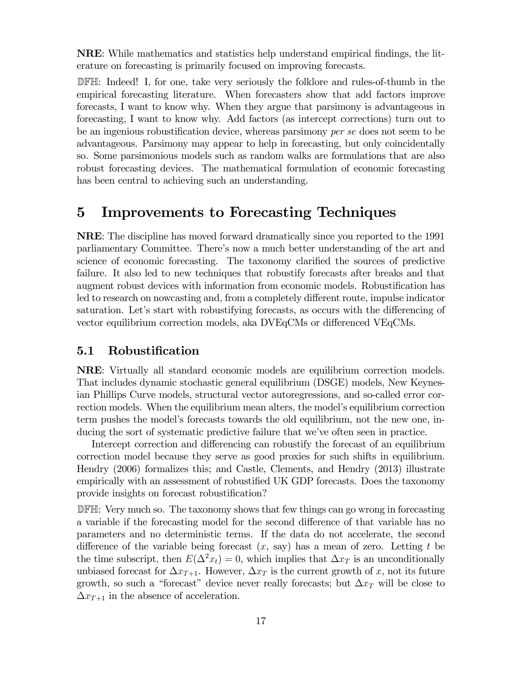NRE: While mathematics and statistics help understand empirical findings, the literature on forecasting is primarily focused on improving forecasts.

DFH: Indeed! I, for one, take very seriously the folklore and rules-of-thumb in the empirical forecasting literature. When forecasters show that add factors improve forecasts, I want to know why. When they argue that parsimony is advantageous in forecasting, I want to know why. Add factors (as intercept corrections) turn out to be an ingenious robustification device, whereas parsimony per se does not seem to be advantageous. Parsimony may appear to help in forecasting, but only coincidentally so. Some parsimonious models such as random walks are formulations that are also robust forecasting devices. The mathematical formulation of economic forecasting has been central to achieving such an understanding.

## 5 Improvements to Forecasting Techniques

NRE: The discipline has moved forward dramatically since you reported to the 1991 parliamentary Committee. There's now a much better understanding of the art and science of economic forecasting. The taxonomy clarified the sources of predictive failure. It also led to new techniques that robustify forecasts after breaks and that augment robust devices with information from economic models. Robustification has led to research on nowcasting and, from a completely different route, impulse indicator saturation. Let's start with robustifying forecasts, as occurs with the differencing of vector equilibrium correction models, aka DVEqCMs or differenced VEqCMs.

### 5.1 Robustification

NRE: Virtually all standard economic models are equilibrium correction models. That includes dynamic stochastic general equilibrium (DSGE) models, New Keynesian Phillips Curve models, structural vector autoregressions, and so-called error correction models. When the equilibrium mean alters, the model's equilibrium correction term pushes the model's forecasts towards the old equilibrium, not the new one, inducing the sort of systematic predictive failure that we've often seen in practice.

Intercept correction and differencing can robustify the forecast of an equilibrium correction model because they serve as good proxies for such shifts in equilibrium. Hendry (2006) formalizes this; and Castle, Clements, and Hendry (2013) illustrate empirically with an assessment of robustified UK GDP forecasts. Does the taxonomy provide insights on forecast robustification?

DFH: Very much so. The taxonomy shows that few things can go wrong in forecasting a variable if the forecasting model for the second difference of that variable has no parameters and no deterministic terms. If the data do not accelerate, the second difference of the variable being forecast  $(x, say)$  has a mean of zero. Letting t be the time subscript, then  $E(\Delta^2 x_t)=0$ , which implies that  $\Delta x_T$  is an unconditionally unbiased forecast for  $\Delta x_{T+1}$ . However,  $\Delta x_T$  is the current growth of  $x$ , not its future growth, so such a "forecast" device never really forecasts; but  $\Delta x_T$  will be close to  $\Delta x_{T+1}$  in the absence of acceleration.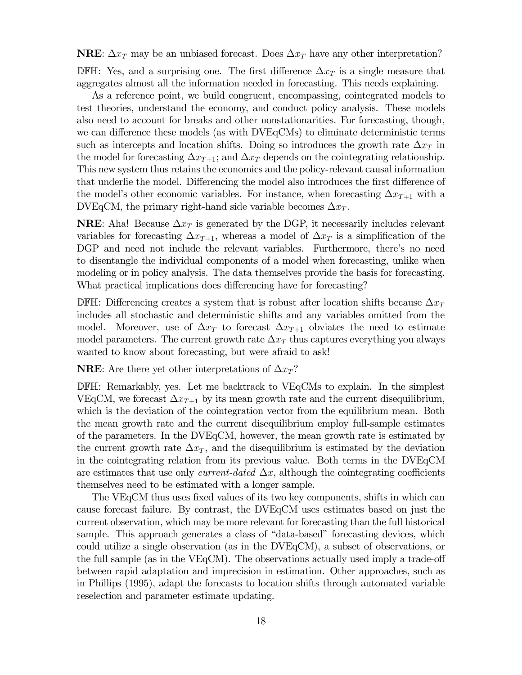**NRE:**  $\Delta x_T$  may be an unbiased forecast. Does  $\Delta x_T$  have any other interpretation? DFH: Yes, and a surprising one. The first difference  $\Delta x_T$  is a single measure that aggregates almost all the information needed in forecasting. This needs explaining.

As a reference point, we build congruent, encompassing, cointegrated models to test theories, understand the economy, and conduct policy analysis. These models also need to account for breaks and other nonstationarities. For forecasting, though, we can difference these models (as with DVEqCMs) to eliminate deterministic terms such as intercepts and location shifts. Doing so introduces the growth rate  $\Delta x_T$  in the model for forecasting  $\Delta x_{T+1}$ ; and  $\Delta x_T$  depends on the cointegrating relationship. This new system thus retains the economics and the policy-relevant causal information that underlie the model. Differencing the model also introduces the first difference of the model's other economic variables. For instance, when forecasting  $\Delta x_{T+1}$  with a DVEqCM, the primary right-hand side variable becomes  $\Delta x_T$ .

**NRE:** Aha! Because  $\Delta x$  is generated by the DGP, it necessarily includes relevant variables for forecasting  $\Delta x_{T+1}$ , whereas a model of  $\Delta x_T$  is a simplification of the DGP and need not include the relevant variables. Furthermore, there's no need to disentangle the individual components of a model when forecasting, unlike when modeling or in policy analysis. The data themselves provide the basis for forecasting. What practical implications does differencing have for forecasting?

DFH: Differencing creates a system that is robust after location shifts because  $\Delta x_T$ includes all stochastic and deterministic shifts and any variables omitted from the model. Moreover, use of  $\Delta x_T$  to forecast  $\Delta x_{T+1}$  obviates the need to estimate model parameters. The current growth rate  $\Delta x_T$  thus captures everything you always wanted to know about forecasting, but were afraid to ask!

**NRE:** Are there yet other interpretations of  $\Delta x_T$ ?

DFH: Remarkably, yes. Let me backtrack to VEqCMs to explain. In the simplest VEqCM, we forecast  $\Delta x_{T+1}$  by its mean growth rate and the current disequilibrium, which is the deviation of the cointegration vector from the equilibrium mean. Both the mean growth rate and the current disequilibrium employ full-sample estimates of the parameters. In the DVEqCM, however, the mean growth rate is estimated by the current growth rate  $\Delta x_T$ , and the disequilibrium is estimated by the deviation in the cointegrating relation from its previous value. Both terms in the DVEqCM are estimates that use only *current-dated*  $\Delta x$ , although the cointegrating coefficients themselves need to be estimated with a longer sample.

The VEqCM thus uses fixed values of its two key components, shifts in which can cause forecast failure. By contrast, the DVEqCM uses estimates based on just the current observation, which may be more relevant for forecasting than the full historical sample. This approach generates a class of "data-based" forecasting devices, which could utilize a single observation (as in the DVEqCM), a subset of observations, or the full sample (as in the VEqCM). The observations actually used imply a trade-off between rapid adaptation and imprecision in estimation. Other approaches, such as in Phillips (1995), adapt the forecasts to location shifts through automated variable reselection and parameter estimate updating.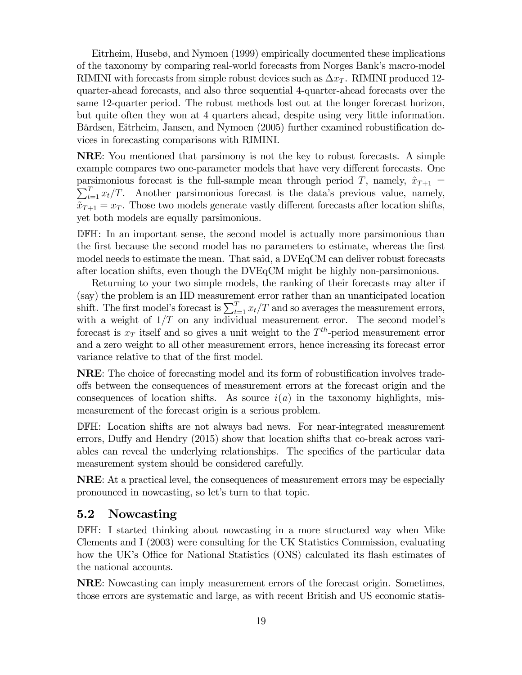Eitrheim, Husebø, and Nymoen (1999) empirically documented these implications of the taxonomy by comparing real-world forecasts from Norges Bank's macro-model RIMINI with forecasts from simple robust devices such as  $\Delta x_T$ . RIMINI produced 12quarter-ahead forecasts, and also three sequential 4-quarter-ahead forecasts over the same 12-quarter period. The robust methods lost out at the longer forecast horizon, but quite often they won at 4 quarters ahead, despite using very little information. Bårdsen, Eitrheim, Jansen, and Nymoen (2005) further examined robustification devices in forecasting comparisons with RIMINI.

NRE: You mentioned that parsimony is not the key to robust forecasts. A simple example compares two one-parameter models that have very different forecasts. One  $\sum_{t=1}^{T} x_t/T$ . Another parsimonious forecast is the data's previous value, namely, parsimonious forecast is the full-sample mean through period T, namely,  $\hat{x}_{T+1} =$  $\tilde{x}_{T+1} = x_T$ . Those two models generate vastly different forecasts after location shifts, yet both models are equally parsimonious.

DFH: In an important sense, the second model is actually more parsimonious than the first because the second model has no parameters to estimate, whereas the first model needs to estimate the mean. That said, a DVEqCM can deliver robust forecasts after location shifts, even though the DVEqCM might be highly non-parsimonious.

Returning to your two simple models, the ranking of their forecasts may alter if (say) the problem is an IID measurement error rather than an unanticipated location shift. The first model's forecast is  $\sum_{t=1}^{T} x_t/T$  and so averages the measurement errors, with a weight of  $1/T$  on any individual measurement error. The second model's forecast is  $x_T$  itself and so gives a unit weight to the  $T^{th}$ -period measurement error and a zero weight to all other measurement errors, hence increasing its forecast error variance relative to that of the first model.

NRE: The choice of forecasting model and its form of robustification involves tradeoffs between the consequences of measurement errors at the forecast origin and the consequences of location shifts. As source  $i(a)$  in the taxonomy highlights, mismeasurement of the forecast origin is a serious problem.

DFH: Location shifts are not always bad news. For near-integrated measurement errors, Duffy and Hendry (2015) show that location shifts that co-break across variables can reveal the underlying relationships. The specifics of the particular data measurement system should be considered carefully.

NRE: At a practical level, the consequences of measurement errors may be especially pronounced in nowcasting, so let's turn to that topic.

### 5.2 Nowcasting

DFH: I started thinking about nowcasting in a more structured way when Mike Clements and I (2003) were consulting for the UK Statistics Commission, evaluating how the UK's Office for National Statistics (ONS) calculated its flash estimates of the national accounts.

NRE: Nowcasting can imply measurement errors of the forecast origin. Sometimes, those errors are systematic and large, as with recent British and US economic statis-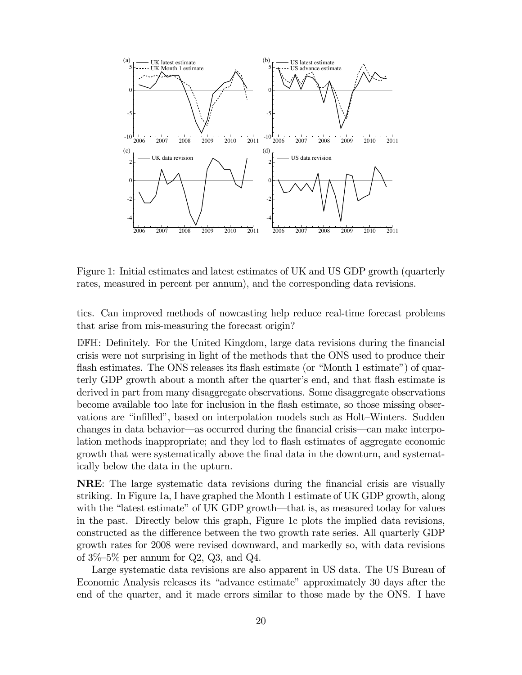

Figure 1: Initial estimates and latest estimates of UK and US GDP growth (quarterly rates, measured in percent per annum), and the corresponding data revisions.

tics. Can improved methods of nowcasting help reduce real-time forecast problems that arise from mis-measuring the forecast origin?

DFH: Definitely. For the United Kingdom, large data revisions during the financial crisis were not surprising in light of the methods that the ONS used to produce their flash estimates. The ONS releases its flash estimate (or "Month 1 estimate") of quarterly GDP growth about a month after the quarter's end, and that flash estimate is derived in part from many disaggregate observations. Some disaggregate observations become available too late for inclusion in the flash estimate, so those missing observations are "infilled", based on interpolation models such as Holt—Winters. Sudden changes in data behavior–as occurred during the financial crisis–can make interpolation methods inappropriate; and they led to flash estimates of aggregate economic growth that were systematically above the final data in the downturn, and systematically below the data in the upturn.

NRE: The large systematic data revisions during the financial crisis are visually striking. In Figure 1a, I have graphed the Month 1 estimate of UK GDP growth, along with the "latest estimate" of UK GDP growth—that is, as measured today for values in the past. Directly below this graph, Figure 1c plots the implied data revisions, constructed as the difference between the two growth rate series. All quarterly GDP growth rates for 2008 were revised downward, and markedly so, with data revisions of  $3\%$ -5% per annum for Q2, Q3, and Q4.

Large systematic data revisions are also apparent in US data. The US Bureau of Economic Analysis releases its "advance estimate" approximately 30 days after the end of the quarter, and it made errors similar to those made by the ONS. I have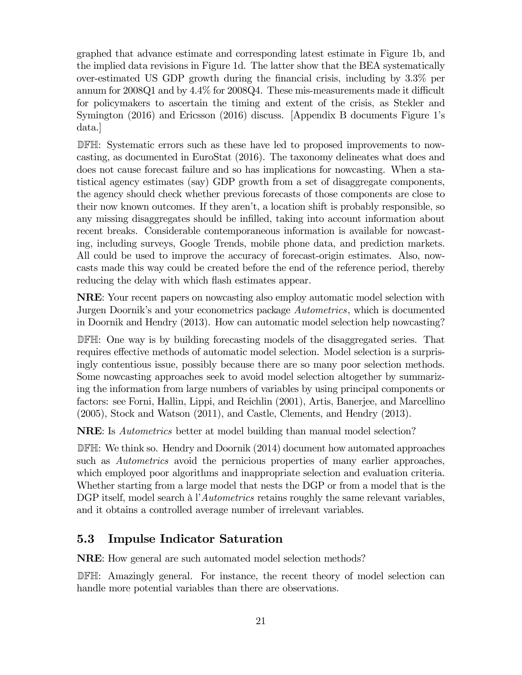graphed that advance estimate and corresponding latest estimate in Figure 1b, and the implied data revisions in Figure 1d. The latter show that the BEA systematically over-estimated US GDP growth during the financial crisis, including by 3.3% per annum for 2008Q1 and by 4.4% for 2008Q4. These mis-measurements made it difficult for policymakers to ascertain the timing and extent of the crisis, as Stekler and Symington (2016) and Ericsson (2016) discuss. [Appendix B documents Figure 1's data.]

DFH: Systematic errors such as these have led to proposed improvements to nowcasting, as documented in EuroStat (2016). The taxonomy delineates what does and does not cause forecast failure and so has implications for nowcasting. When a statistical agency estimates (say) GDP growth from a set of disaggregate components, the agency should check whether previous forecasts of those components are close to their now known outcomes. If they aren't, a location shift is probably responsible, so any missing disaggregates should be infilled, taking into account information about recent breaks. Considerable contemporaneous information is available for nowcasting, including surveys, Google Trends, mobile phone data, and prediction markets. All could be used to improve the accuracy of forecast-origin estimates. Also, nowcasts made this way could be created before the end of the reference period, thereby reducing the delay with which flash estimates appear.

NRE: Your recent papers on nowcasting also employ automatic model selection with Jurgen Doornik's and your econometrics package Autometrics, which is documented in Doornik and Hendry (2013). How can automatic model selection help nowcasting?

DFH: One way is by building forecasting models of the disaggregated series. That requires effective methods of automatic model selection. Model selection is a surprisingly contentious issue, possibly because there are so many poor selection methods. Some nowcasting approaches seek to avoid model selection altogether by summarizing the information from large numbers of variables by using principal components or factors: see Forni, Hallin, Lippi, and Reichlin (2001), Artis, Banerjee, and Marcellino (2005), Stock and Watson (2011), and Castle, Clements, and Hendry (2013).

**NRE:** Is *Autometrics* better at model building than manual model selection?

DFH: We think so. Hendry and Doornik (2014) document how automated approaches such as *Autometrics* avoid the pernicious properties of many earlier approaches, which employed poor algorithms and inappropriate selection and evaluation criteria. Whether starting from a large model that nests the DGP or from a model that is the DGP itself, model search à l'Autometrics retains roughly the same relevant variables, and it obtains a controlled average number of irrelevant variables.

### 5.3 Impulse Indicator Saturation

NRE: How general are such automated model selection methods?

DFH: Amazingly general. For instance, the recent theory of model selection can handle more potential variables than there are observations.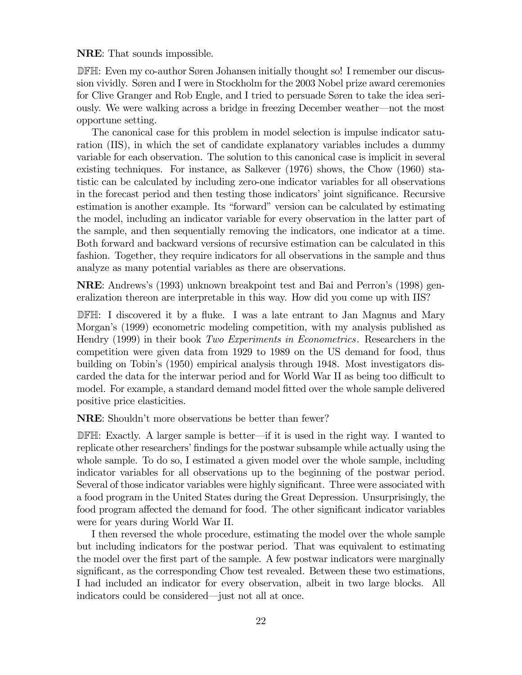NRE: That sounds impossible.

DFH: Even my co-author Søren Johansen initially thought so! I remember our discussion vividly. Søren and I were in Stockholm for the 2003 Nobel prize award ceremonies for Clive Granger and Rob Engle, and I tried to persuade Søren to take the idea seriously. We were walking across a bridge in freezing December weather–not the most opportune setting.

The canonical case for this problem in model selection is impulse indicator saturation (IIS), in which the set of candidate explanatory variables includes a dummy variable for each observation. The solution to this canonical case is implicit in several existing techniques. For instance, as Salkever (1976) shows, the Chow (1960) statistic can be calculated by including zero-one indicator variables for all observations in the forecast period and then testing those indicators' joint significance. Recursive estimation is another example. Its "forward" version can be calculated by estimating the model, including an indicator variable for every observation in the latter part of the sample, and then sequentially removing the indicators, one indicator at a time. Both forward and backward versions of recursive estimation can be calculated in this fashion. Together, they require indicators for all observations in the sample and thus analyze as many potential variables as there are observations.

NRE: Andrews's (1993) unknown breakpoint test and Bai and Perron's (1998) generalization thereon are interpretable in this way. How did you come up with IIS?

DFH: I discovered it by a fluke. I was a late entrant to Jan Magnus and Mary Morgan's (1999) econometric modeling competition, with my analysis published as Hendry (1999) in their book Two Experiments in Econometrics. Researchers in the competition were given data from 1929 to 1989 on the US demand for food, thus building on Tobin's (1950) empirical analysis through 1948. Most investigators discarded the data for the interwar period and for World War II as being too difficult to model. For example, a standard demand model fitted over the whole sample delivered positive price elasticities.

NRE: Shouldn't more observations be better than fewer?

DFH: Exactly. A larger sample is better–if it is used in the right way. I wanted to replicate other researchers' findings for the postwar subsample while actually using the whole sample. To do so, I estimated a given model over the whole sample, including indicator variables for all observations up to the beginning of the postwar period. Several of those indicator variables were highly significant. Three were associated with a food program in the United States during the Great Depression. Unsurprisingly, the food program affected the demand for food. The other significant indicator variables were for years during World War II.

I then reversed the whole procedure, estimating the model over the whole sample but including indicators for the postwar period. That was equivalent to estimating the model over the first part of the sample. A few postwar indicators were marginally significant, as the corresponding Chow test revealed. Between these two estimations, I had included an indicator for every observation, albeit in two large blocks. All indicators could be considered–just not all at once.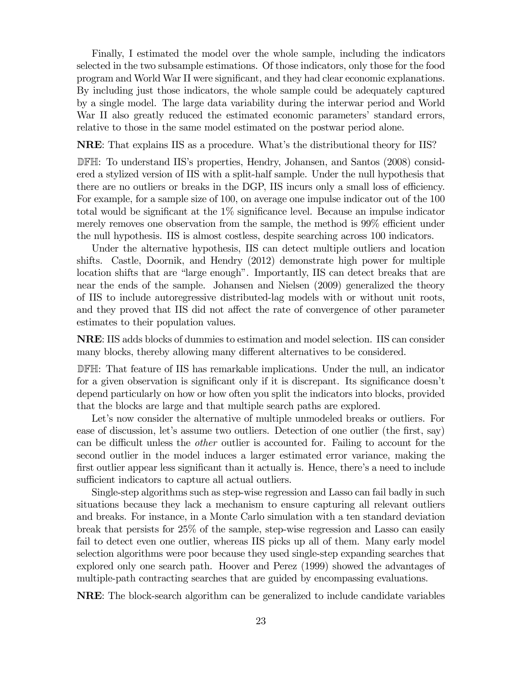Finally, I estimated the model over the whole sample, including the indicators selected in the two subsample estimations. Of those indicators, only those for the food program and World War II were significant, and they had clear economic explanations. By including just those indicators, the whole sample could be adequately captured by a single model. The large data variability during the interwar period and World War II also greatly reduced the estimated economic parameters' standard errors, relative to those in the same model estimated on the postwar period alone.

NRE: That explains IIS as a procedure. What's the distributional theory for IIS?

DFH: To understand IIS's properties, Hendry, Johansen, and Santos (2008) considered a stylized version of IIS with a split-half sample. Under the null hypothesis that there are no outliers or breaks in the DGP, IIS incurs only a small loss of efficiency. For example, for a sample size of 100, on average one impulse indicator out of the 100 total would be significant at the 1% significance level. Because an impulse indicator merely removes one observation from the sample, the method is 99% efficient under the null hypothesis. IIS is almost costless, despite searching across 100 indicators.

Under the alternative hypothesis, IIS can detect multiple outliers and location shifts. Castle, Doornik, and Hendry (2012) demonstrate high power for multiple location shifts that are "large enough". Importantly, IIS can detect breaks that are near the ends of the sample. Johansen and Nielsen (2009) generalized the theory of IIS to include autoregressive distributed-lag models with or without unit roots, and they proved that IIS did not affect the rate of convergence of other parameter estimates to their population values.

NRE: IIS adds blocks of dummies to estimation and model selection. IIS can consider many blocks, thereby allowing many different alternatives to be considered.

DFH: That feature of IIS has remarkable implications. Under the null, an indicator for a given observation is significant only if it is discrepant. Its significance doesn't depend particularly on how or how often you split the indicators into blocks, provided that the blocks are large and that multiple search paths are explored.

Let's now consider the alternative of multiple unmodeled breaks or outliers. For ease of discussion, let's assume two outliers. Detection of one outlier (the first, say) can be difficult unless the other outlier is accounted for. Failing to account for the second outlier in the model induces a larger estimated error variance, making the first outlier appear less significant than it actually is. Hence, there's a need to include sufficient indicators to capture all actual outliers.

Single-step algorithms such as step-wise regression and Lasso can fail badly in such situations because they lack a mechanism to ensure capturing all relevant outliers and breaks. For instance, in a Monte Carlo simulation with a ten standard deviation break that persists for 25% of the sample, step-wise regression and Lasso can easily fail to detect even one outlier, whereas IIS picks up all of them. Many early model selection algorithms were poor because they used single-step expanding searches that explored only one search path. Hoover and Perez (1999) showed the advantages of multiple-path contracting searches that are guided by encompassing evaluations.

NRE: The block-search algorithm can be generalized to include candidate variables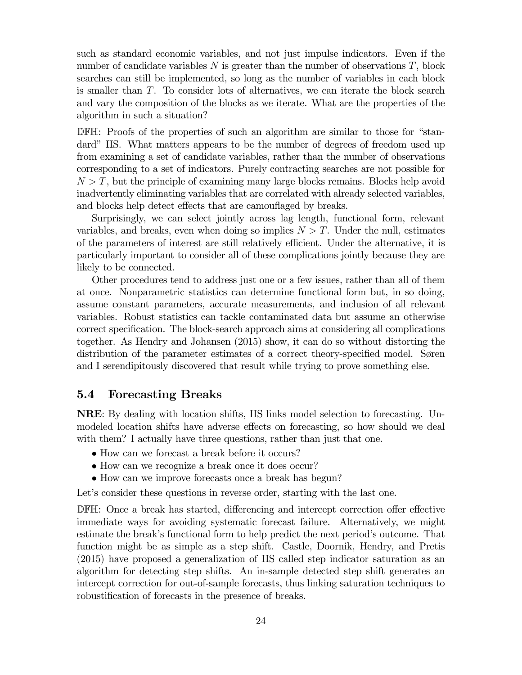such as standard economic variables, and not just impulse indicators. Even if the number of candidate variables  $N$  is greater than the number of observations  $T$ , block searches can still be implemented, so long as the number of variables in each block is smaller than  $T$ . To consider lots of alternatives, we can iterate the block search and vary the composition of the blocks as we iterate. What are the properties of the algorithm in such a situation?

DFH: Proofs of the properties of such an algorithm are similar to those for "standard" IIS. What matters appears to be the number of degrees of freedom used up from examining a set of candidate variables, rather than the number of observations corresponding to a set of indicators. Purely contracting searches are not possible for  $N > T$ , but the principle of examining many large blocks remains. Blocks help avoid inadvertently eliminating variables that are correlated with already selected variables, and blocks help detect effects that are camouflaged by breaks.

Surprisingly, we can select jointly across lag length, functional form, relevant variables, and breaks, even when doing so implies  $N > T$ . Under the null, estimates of the parameters of interest are still relatively efficient. Under the alternative, it is particularly important to consider all of these complications jointly because they are likely to be connected.

Other procedures tend to address just one or a few issues, rather than all of them at once. Nonparametric statistics can determine functional form but, in so doing, assume constant parameters, accurate measurements, and inclusion of all relevant variables. Robust statistics can tackle contaminated data but assume an otherwise correct specification. The block-search approach aims at considering all complications together. As Hendry and Johansen (2015) show, it can do so without distorting the distribution of the parameter estimates of a correct theory-specified model. Søren and I serendipitously discovered that result while trying to prove something else.

#### 5.4 Forecasting Breaks

NRE: By dealing with location shifts, IIS links model selection to forecasting. Unmodeled location shifts have adverse effects on forecasting, so how should we deal with them? I actually have three questions, rather than just that one.

- How can we forecast a break before it occurs?
- How can we recognize a break once it does occur?
- How can we improve forecasts once a break has begun?

Let's consider these questions in reverse order, starting with the last one.

DFH: Once a break has started, differencing and intercept correction offer effective immediate ways for avoiding systematic forecast failure. Alternatively, we might estimate the break's functional form to help predict the next period's outcome. That function might be as simple as a step shift. Castle, Doornik, Hendry, and Pretis (2015) have proposed a generalization of IIS called step indicator saturation as an algorithm for detecting step shifts. An in-sample detected step shift generates an intercept correction for out-of-sample forecasts, thus linking saturation techniques to robustification of forecasts in the presence of breaks.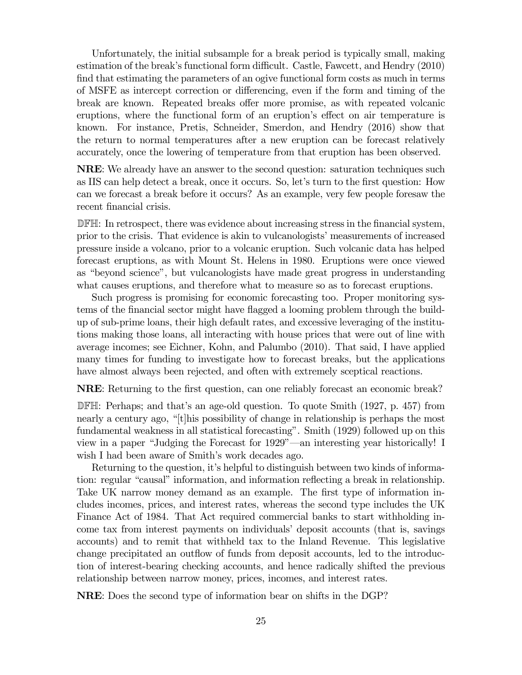Unfortunately, the initial subsample for a break period is typically small, making estimation of the break's functional form difficult. Castle, Fawcett, and Hendry (2010) find that estimating the parameters of an ogive functional form costs as much in terms of MSFE as intercept correction or differencing, even if the form and timing of the break are known. Repeated breaks offer more promise, as with repeated volcanic eruptions, where the functional form of an eruption's effect on air temperature is known. For instance, Pretis, Schneider, Smerdon, and Hendry (2016) show that the return to normal temperatures after a new eruption can be forecast relatively accurately, once the lowering of temperature from that eruption has been observed.

NRE: We already have an answer to the second question: saturation techniques such as IIS can help detect a break, once it occurs. So, let's turn to the first question: How can we forecast a break before it occurs? As an example, very few people foresaw the recent financial crisis.

DFH: In retrospect, there was evidence about increasing stress in the financial system, prior to the crisis. That evidence is akin to vulcanologists' measurements of increased pressure inside a volcano, prior to a volcanic eruption. Such volcanic data has helped forecast eruptions, as with Mount St. Helens in 1980. Eruptions were once viewed as "beyond science", but vulcanologists have made great progress in understanding what causes eruptions, and therefore what to measure so as to forecast eruptions.

Such progress is promising for economic forecasting too. Proper monitoring systems of the financial sector might have flagged a looming problem through the buildup of sub-prime loans, their high default rates, and excessive leveraging of the institutions making those loans, all interacting with house prices that were out of line with average incomes; see Eichner, Kohn, and Palumbo (2010). That said, I have applied many times for funding to investigate how to forecast breaks, but the applications have almost always been rejected, and often with extremely sceptical reactions.

NRE: Returning to the first question, can one reliably forecast an economic break?

DFH: Perhaps; and that's an age-old question. To quote Smith (1927, p. 457) from nearly a century ago, "[t]his possibility of change in relationship is perhaps the most fundamental weakness in all statistical forecasting". Smith (1929) followed up on this view in a paper "Judging the Forecast for 1929"–an interesting year historically! I wish I had been aware of Smith's work decades ago.

Returning to the question, it's helpful to distinguish between two kinds of information: regular "causal" information, and information reflecting a break in relationship. Take UK narrow money demand as an example. The first type of information includes incomes, prices, and interest rates, whereas the second type includes the UK Finance Act of 1984. That Act required commercial banks to start withholding income tax from interest payments on individuals' deposit accounts (that is, savings accounts) and to remit that withheld tax to the Inland Revenue. This legislative change precipitated an outflow of funds from deposit accounts, led to the introduction of interest-bearing checking accounts, and hence radically shifted the previous relationship between narrow money, prices, incomes, and interest rates.

NRE: Does the second type of information bear on shifts in the DGP?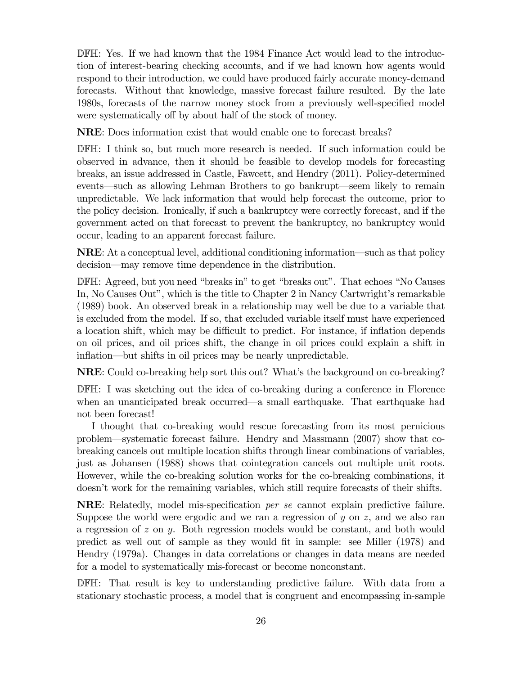DFH: Yes. If we had known that the 1984 Finance Act would lead to the introduction of interest-bearing checking accounts, and if we had known how agents would respond to their introduction, we could have produced fairly accurate money-demand forecasts. Without that knowledge, massive forecast failure resulted. By the late 1980s, forecasts of the narrow money stock from a previously well-specified model were systematically off by about half of the stock of money.

NRE: Does information exist that would enable one to forecast breaks?

DFH: I think so, but much more research is needed. If such information could be observed in advance, then it should be feasible to develop models for forecasting breaks, an issue addressed in Castle, Fawcett, and Hendry (2011). Policy-determined events–such as allowing Lehman Brothers to go bankrupt–seem likely to remain unpredictable. We lack information that would help forecast the outcome, prior to the policy decision. Ironically, if such a bankruptcy were correctly forecast, and if the government acted on that forecast to prevent the bankruptcy, no bankruptcy would occur, leading to an apparent forecast failure.

NRE: At a conceptual level, additional conditioning information–such as that policy decision–may remove time dependence in the distribution.

DFH: Agreed, but you need "breaks in" to get "breaks out". That echoes "No Causes In, No Causes Out", which is the title to Chapter 2 in Nancy Cartwright's remarkable (1989) book. An observed break in a relationship may well be due to a variable that is excluded from the model. If so, that excluded variable itself must have experienced a location shift, which may be difficult to predict. For instance, if inflation depends on oil prices, and oil prices shift, the change in oil prices could explain a shift in inflation–but shifts in oil prices may be nearly unpredictable.

NRE: Could co-breaking help sort this out? What's the background on co-breaking?

DFH: I was sketching out the idea of co-breaking during a conference in Florence when an unanticipated break occurred–a small earthquake. That earthquake had not been forecast!

I thought that co-breaking would rescue forecasting from its most pernicious problem–systematic forecast failure. Hendry and Massmann (2007) show that cobreaking cancels out multiple location shifts through linear combinations of variables, just as Johansen (1988) shows that cointegration cancels out multiple unit roots. However, while the co-breaking solution works for the co-breaking combinations, it doesn't work for the remaining variables, which still require forecasts of their shifts.

NRE: Relatedly, model mis-specification per se cannot explain predictive failure. Suppose the world were ergodic and we ran a regression of  $y$  on  $z$ , and we also ran a regression of  $z$  on  $y$ . Both regression models would be constant, and both would predict as well out of sample as they would fit in sample: see Miller (1978) and Hendry (1979a). Changes in data correlations or changes in data means are needed for a model to systematically mis-forecast or become nonconstant.

DFH: That result is key to understanding predictive failure. With data from a stationary stochastic process, a model that is congruent and encompassing in-sample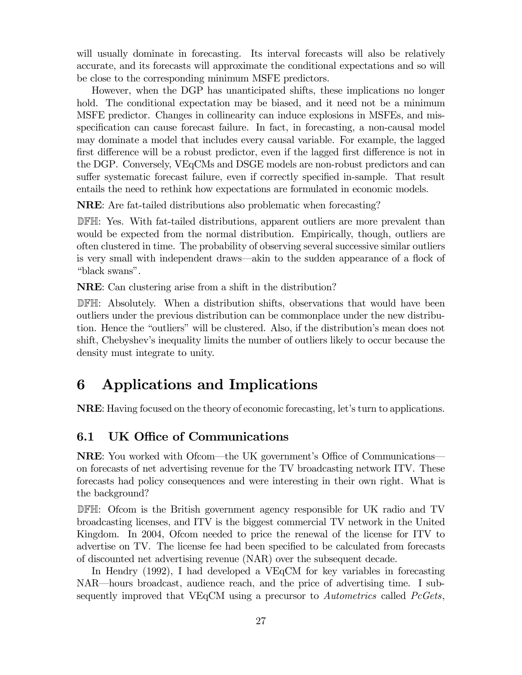will usually dominate in forecasting. Its interval forecasts will also be relatively accurate, and its forecasts will approximate the conditional expectations and so will be close to the corresponding minimum MSFE predictors.

However, when the DGP has unanticipated shifts, these implications no longer hold. The conditional expectation may be biased, and it need not be a minimum MSFE predictor. Changes in collinearity can induce explosions in MSFEs, and misspecification can cause forecast failure. In fact, in forecasting, a non-causal model may dominate a model that includes every causal variable. For example, the lagged first difference will be a robust predictor, even if the lagged first difference is not in the DGP. Conversely, VEqCMs and DSGE models are non-robust predictors and can suffer systematic forecast failure, even if correctly specified in-sample. That result entails the need to rethink how expectations are formulated in economic models.

NRE: Are fat-tailed distributions also problematic when forecasting?

DFH: Yes. With fat-tailed distributions, apparent outliers are more prevalent than would be expected from the normal distribution. Empirically, though, outliers are often clustered in time. The probability of observing several successive similar outliers is very small with independent draws–akin to the sudden appearance of a flock of "black swans".

NRE: Can clustering arise from a shift in the distribution?

DFH: Absolutely. When a distribution shifts, observations that would have been outliers under the previous distribution can be commonplace under the new distribution. Hence the "outliers" will be clustered. Also, if the distribution's mean does not shift, Chebyshev's inequality limits the number of outliers likely to occur because the density must integrate to unity.

# 6 Applications and Implications

NRE: Having focused on the theory of economic forecasting, let's turn to applications.

### 6.1 UK Office of Communications

NRE: You worked with Ofcom–the UK government's Office of Communications– on forecasts of net advertising revenue for the TV broadcasting network ITV. These forecasts had policy consequences and were interesting in their own right. What is the background?

DFH: Ofcom is the British government agency responsible for UK radio and TV broadcasting licenses, and ITV is the biggest commercial TV network in the United Kingdom. In 2004, Ofcom needed to price the renewal of the license for ITV to advertise on TV. The license fee had been specified to be calculated from forecasts of discounted net advertising revenue (NAR) over the subsequent decade.

In Hendry (1992), I had developed a VEqCM for key variables in forecasting NAR–hours broadcast, audience reach, and the price of advertising time. I subsequently improved that VEqCM using a precursor to Autometrics called PcGets,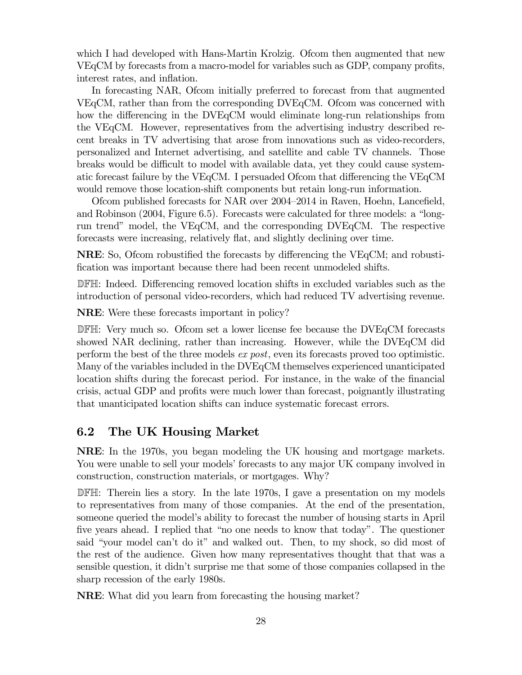which I had developed with Hans-Martin Krolzig. Ofcom then augmented that new VEqCM by forecasts from a macro-model for variables such as GDP, company profits, interest rates, and inflation.

In forecasting NAR, Ofcom initially preferred to forecast from that augmented VEqCM, rather than from the corresponding DVEqCM. Ofcom was concerned with how the differencing in the DVEqCM would eliminate long-run relationships from the VEqCM. However, representatives from the advertising industry described recent breaks in TV advertising that arose from innovations such as video-recorders, personalized and Internet advertising, and satellite and cable TV channels. Those breaks would be difficult to model with available data, yet they could cause systematic forecast failure by the VEqCM. I persuaded Ofcom that differencing the VEqCM would remove those location-shift components but retain long-run information.

Ofcom published forecasts for NAR over 2004—2014 in Raven, Hoehn, Lancefield, and Robinson (2004, Figure 6.5). Forecasts were calculated for three models: a "longrun trend" model, the VEqCM, and the corresponding DVEqCM. The respective forecasts were increasing, relatively flat, and slightly declining over time.

NRE: So, Ofcom robustified the forecasts by differencing the VEqCM; and robustification was important because there had been recent unmodeled shifts.

DFH: Indeed. Differencing removed location shifts in excluded variables such as the introduction of personal video-recorders, which had reduced TV advertising revenue.

NRE: Were these forecasts important in policy?

DFH: Very much so. Ofcom set a lower license fee because the DVEqCM forecasts showed NAR declining, rather than increasing. However, while the DVEqCM did perform the best of the three models ex post, even its forecasts proved too optimistic. Many of the variables included in the DVEqCM themselves experienced unanticipated location shifts during the forecast period. For instance, in the wake of the financial crisis, actual GDP and profits were much lower than forecast, poignantly illustrating that unanticipated location shifts can induce systematic forecast errors.

#### 6.2 The UK Housing Market

NRE: In the 1970s, you began modeling the UK housing and mortgage markets. You were unable to sell your models' forecasts to any major UK company involved in construction, construction materials, or mortgages. Why?

DFH: Therein lies a story. In the late 1970s, I gave a presentation on my models to representatives from many of those companies. At the end of the presentation, someone queried the model's ability to forecast the number of housing starts in April five years ahead. I replied that "no one needs to know that today". The questioner said "your model can't do it" and walked out. Then, to my shock, so did most of the rest of the audience. Given how many representatives thought that that was a sensible question, it didn't surprise me that some of those companies collapsed in the sharp recession of the early 1980s.

NRE: What did you learn from forecasting the housing market?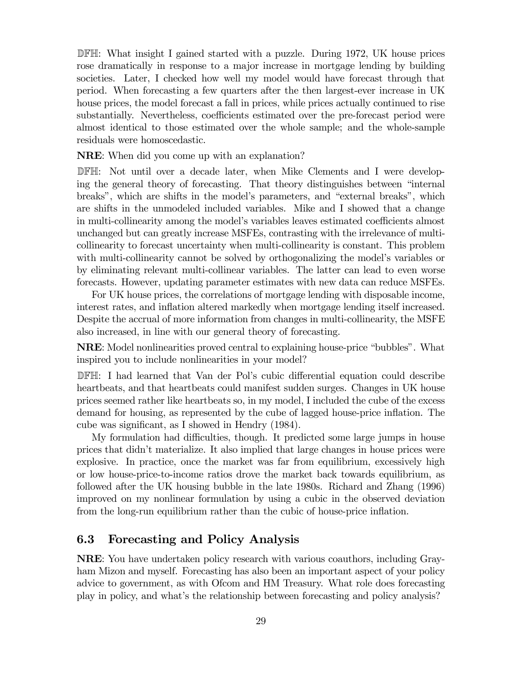DFH: What insight I gained started with a puzzle. During 1972, UK house prices rose dramatically in response to a major increase in mortgage lending by building societies. Later, I checked how well my model would have forecast through that period. When forecasting a few quarters after the then largest-ever increase in UK house prices, the model forecast a fall in prices, while prices actually continued to rise substantially. Nevertheless, coefficients estimated over the pre-forecast period were almost identical to those estimated over the whole sample; and the whole-sample residuals were homoscedastic.

NRE: When did you come up with an explanation?

DFH: Not until over a decade later, when Mike Clements and I were developing the general theory of forecasting. That theory distinguishes between "internal breaks", which are shifts in the model's parameters, and "external breaks", which are shifts in the unmodeled included variables. Mike and I showed that a change in multi-collinearity among the model's variables leaves estimated coefficients almost unchanged but can greatly increase MSFEs, contrasting with the irrelevance of multicollinearity to forecast uncertainty when multi-collinearity is constant. This problem with multi-collinearity cannot be solved by orthogonalizing the model's variables or by eliminating relevant multi-collinear variables. The latter can lead to even worse forecasts. However, updating parameter estimates with new data can reduce MSFEs.

For UK house prices, the correlations of mortgage lending with disposable income, interest rates, and inflation altered markedly when mortgage lending itself increased. Despite the accrual of more information from changes in multi-collinearity, the MSFE also increased, in line with our general theory of forecasting.

NRE: Model nonlinearities proved central to explaining house-price "bubbles". What inspired you to include nonlinearities in your model?

DFH: I had learned that Van der Pol's cubic differential equation could describe heartbeats, and that heartbeats could manifest sudden surges. Changes in UK house prices seemed rather like heartbeats so, in my model, I included the cube of the excess demand for housing, as represented by the cube of lagged house-price inflation. The cube was significant, as I showed in Hendry (1984).

My formulation had difficulties, though. It predicted some large jumps in house prices that didn't materialize. It also implied that large changes in house prices were explosive. In practice, once the market was far from equilibrium, excessively high or low house-price-to-income ratios drove the market back towards equilibrium, as followed after the UK housing bubble in the late 1980s. Richard and Zhang (1996) improved on my nonlinear formulation by using a cubic in the observed deviation from the long-run equilibrium rather than the cubic of house-price inflation.

#### 6.3 Forecasting and Policy Analysis

NRE: You have undertaken policy research with various coauthors, including Grayham Mizon and myself. Forecasting has also been an important aspect of your policy advice to government, as with Ofcom and HM Treasury. What role does forecasting play in policy, and what's the relationship between forecasting and policy analysis?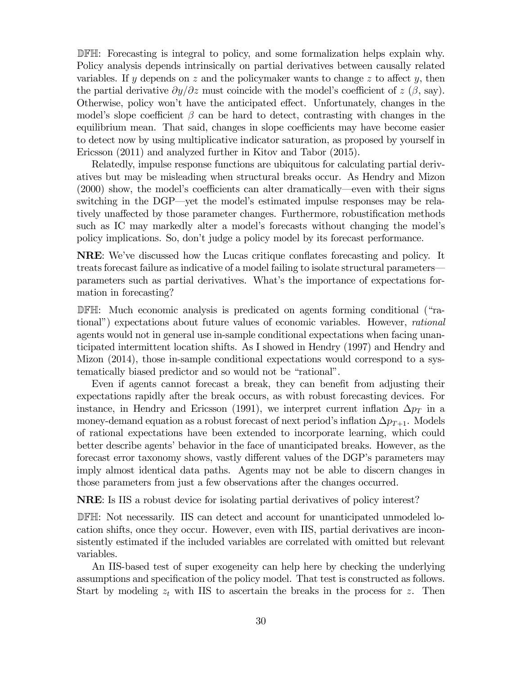DFH: Forecasting is integral to policy, and some formalization helps explain why. Policy analysis depends intrinsically on partial derivatives between causally related variables. If y depends on  $z$  and the policymaker wants to change  $z$  to affect y, then the partial derivative  $\partial y/\partial z$  must coincide with the model's coefficient of  $z(\beta, \text{say})$ . Otherwise, policy won't have the anticipated effect. Unfortunately, changes in the model's slope coefficient  $\beta$  can be hard to detect, contrasting with changes in the equilibrium mean. That said, changes in slope coefficients may have become easier to detect now by using multiplicative indicator saturation, as proposed by yourself in Ericsson (2011) and analyzed further in Kitov and Tabor (2015).

Relatedly, impulse response functions are ubiquitous for calculating partial derivatives but may be misleading when structural breaks occur. As Hendry and Mizon (2000) show, the model's coefficients can alter dramatically–even with their signs switching in the DGP–yet the model's estimated impulse responses may be relatively unaffected by those parameter changes. Furthermore, robustification methods such as IC may markedly alter a model's forecasts without changing the model's policy implications. So, don't judge a policy model by its forecast performance.

NRE: We've discussed how the Lucas critique conflates forecasting and policy. It treats forecast failure as indicative of a model failing to isolate structural parameters– parameters such as partial derivatives. What's the importance of expectations formation in forecasting?

DFH: Much economic analysis is predicated on agents forming conditional ("rational") expectations about future values of economic variables. However, rational agents would not in general use in-sample conditional expectations when facing unanticipated intermittent location shifts. As I showed in Hendry (1997) and Hendry and Mizon (2014), those in-sample conditional expectations would correspond to a systematically biased predictor and so would not be "rational".

Even if agents cannot forecast a break, they can benefit from adjusting their expectations rapidly after the break occurs, as with robust forecasting devices. For instance, in Hendry and Ericsson (1991), we interpret current inflation  $\Delta p_T$  in a money-demand equation as a robust forecast of next period's inflation  $\Delta p_{T+1}$ . Models of rational expectations have been extended to incorporate learning, which could better describe agents' behavior in the face of unanticipated breaks. However, as the forecast error taxonomy shows, vastly different values of the DGP's parameters may imply almost identical data paths. Agents may not be able to discern changes in those parameters from just a few observations after the changes occurred.

NRE: Is IIS a robust device for isolating partial derivatives of policy interest?

DFH: Not necessarily. IIS can detect and account for unanticipated unmodeled location shifts, once they occur. However, even with IIS, partial derivatives are inconsistently estimated if the included variables are correlated with omitted but relevant variables.

An IIS-based test of super exogeneity can help here by checking the underlying assumptions and specification of the policy model. That test is constructed as follows. Start by modeling  $z_t$  with IIS to ascertain the breaks in the process for z. Then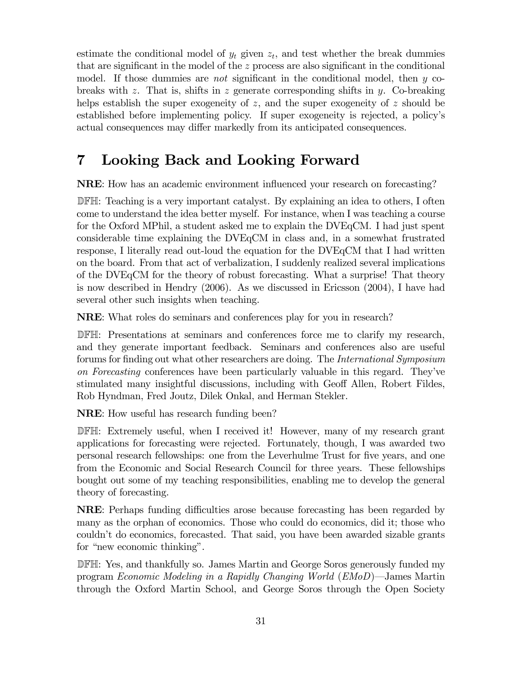estimate the conditional model of  $y_t$  given  $z_t$ , and test whether the break dummies that are significant in the model of the  $z$  process are also significant in the conditional model. If those dummies are *not* significant in the conditional model, then  $y$  cobreaks with  $z$ . That is, shifts in  $z$  generate corresponding shifts in  $y$ . Co-breaking helps establish the super exogeneity of  $z$ , and the super exogeneity of  $z$  should be established before implementing policy. If super exogeneity is rejected, a policy's actual consequences may differ markedly from its anticipated consequences.

# 7 Looking Back and Looking Forward

NRE: How has an academic environment influenced your research on forecasting?

DFH: Teaching is a very important catalyst. By explaining an idea to others, I often come to understand the idea better myself. For instance, when I was teaching a course for the Oxford MPhil, a student asked me to explain the DVEqCM. I had just spent considerable time explaining the DVEqCM in class and, in a somewhat frustrated response, I literally read out-loud the equation for the DVEqCM that I had written on the board. From that act of verbalization, I suddenly realized several implications of the DVEqCM for the theory of robust forecasting. What a surprise! That theory is now described in Hendry (2006). As we discussed in Ericsson (2004), I have had several other such insights when teaching.

NRE: What roles do seminars and conferences play for you in research?

DFH: Presentations at seminars and conferences force me to clarify my research, and they generate important feedback. Seminars and conferences also are useful forums for finding out what other researchers are doing. The International Symposium on Forecasting conferences have been particularly valuable in this regard. They've stimulated many insightful discussions, including with Geoff Allen, Robert Fildes, Rob Hyndman, Fred Joutz, Dilek Onkal, and Herman Stekler.

NRE: How useful has research funding been?

DFH: Extremely useful, when I received it! However, many of my research grant applications for forecasting were rejected. Fortunately, though, I was awarded two personal research fellowships: one from the Leverhulme Trust for five years, and one from the Economic and Social Research Council for three years. These fellowships bought out some of my teaching responsibilities, enabling me to develop the general theory of forecasting.

NRE: Perhaps funding difficulties arose because forecasting has been regarded by many as the orphan of economics. Those who could do economics, did it; those who couldn't do economics, forecasted. That said, you have been awarded sizable grants for "new economic thinking".

DFH: Yes, and thankfully so. James Martin and George Soros generously funded my program Economic Modeling in a Rapidly Changing World (EMoD)–James Martin through the Oxford Martin School, and George Soros through the Open Society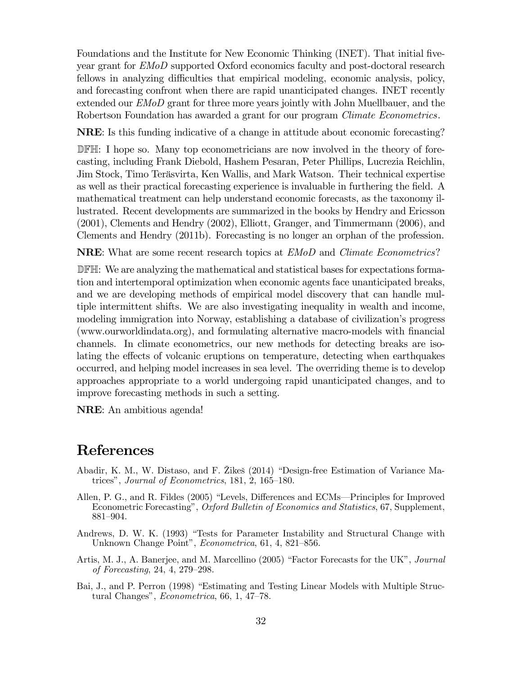Foundations and the Institute for New Economic Thinking (INET). That initial fiveyear grant for EMoD supported Oxford economics faculty and post-doctoral research fellows in analyzing difficulties that empirical modeling, economic analysis, policy, and forecasting confront when there are rapid unanticipated changes. INET recently extended our *EMoD* grant for three more years jointly with John Muellbauer, and the Robertson Foundation has awarded a grant for our program *Climate Econometrics*.

NRE: Is this funding indicative of a change in attitude about economic forecasting?

DFH: I hope so. Many top econometricians are now involved in the theory of forecasting, including Frank Diebold, Hashem Pesaran, Peter Phillips, Lucrezia Reichlin, Jim Stock, Timo Teräsvirta, Ken Wallis, and Mark Watson. Their technical expertise as well as their practical forecasting experience is invaluable in furthering the field. A mathematical treatment can help understand economic forecasts, as the taxonomy illustrated. Recent developments are summarized in the books by Hendry and Ericsson (2001), Clements and Hendry (2002), Elliott, Granger, and Timmermann (2006), and Clements and Hendry (2011b). Forecasting is no longer an orphan of the profession.

NRE: What are some recent research topics at  $EMoD$  and *Climate Econometrics*?

DFH: We are analyzing the mathematical and statistical bases for expectations formation and intertemporal optimization when economic agents face unanticipated breaks, and we are developing methods of empirical model discovery that can handle multiple intermittent shifts. We are also investigating inequality in wealth and income, modeling immigration into Norway, establishing a database of civilization's progress (www.ourworldindata.org), and formulating alternative macro-models with financial channels. In climate econometrics, our new methods for detecting breaks are isolating the effects of volcanic eruptions on temperature, detecting when earthquakes occurred, and helping model increases in sea level. The overriding theme is to develop approaches appropriate to a world undergoing rapid unanticipated changes, and to improve forecasting methods in such a setting.

NRE: An ambitious agenda!

### References

- Abadir, K. M., W. Distaso, and F. Žikeš (2014) "Design-free Estimation of Variance Matrices", Journal of Econometrics, 181, 2, 165—180.
- Allen, P. G., and R. Fildes (2005) "Levels, Differences and ECMs–Principles for Improved Econometric Forecasting", Oxford Bulletin of Economics and Statistics, 67, Supplement, 881—904.
- Andrews, D. W. K. (1993) "Tests for Parameter Instability and Structural Change with Unknown Change Point", Econometrica, 61, 4, 821—856.
- Artis, M. J., A. Banerjee, and M. Marcellino (2005) "Factor Forecasts for the UK", Journal of Forecasting, 24, 4, 279—298.
- Bai, J., and P. Perron (1998) "Estimating and Testing Linear Models with Multiple Structural Changes", Econometrica, 66, 1, 47—78.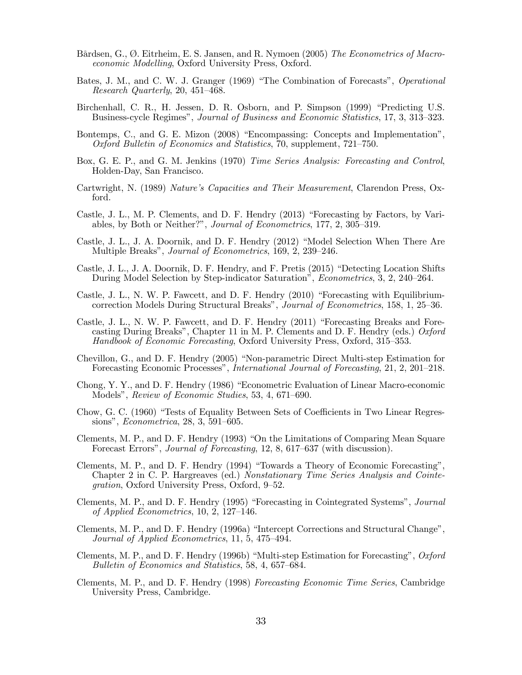- Bårdsen, G., Ø. Eitrheim, E. S. Jansen, and R. Nymoen (2005) The Econometrics of Macroeconomic Modelling, Oxford University Press, Oxford.
- Bates, J. M., and C. W. J. Granger (1969) "The Combination of Forecasts", Operational Research Quarterly, 20, 451—468.
- Birchenhall, C. R., H. Jessen, D. R. Osborn, and P. Simpson (1999) "Predicting U.S. Business-cycle Regimes", Journal of Business and Economic Statistics, 17, 3, 313—323.
- Bontemps, C., and G. E. Mizon (2008) "Encompassing: Concepts and Implementation", Oxford Bulletin of Economics and Statistics, 70, supplement, 721—750.
- Box, G. E. P., and G. M. Jenkins (1970) Time Series Analysis: Forecasting and Control, Holden-Day, San Francisco.
- Cartwright, N. (1989) Nature's Capacities and Their Measurement, Clarendon Press, Oxford.
- Castle, J. L., M. P. Clements, and D. F. Hendry (2013) "Forecasting by Factors, by Variables, by Both or Neither?", Journal of Econometrics, 177, 2, 305—319.
- Castle, J. L., J. A. Doornik, and D. F. Hendry (2012) "Model Selection When There Are Multiple Breaks", Journal of Econometrics, 169, 2, 239—246.
- Castle, J. L., J. A. Doornik, D. F. Hendry, and F. Pretis (2015) "Detecting Location Shifts During Model Selection by Step-indicator Saturation", Econometrics, 3, 2, 240—264.
- Castle, J. L., N. W. P. Fawcett, and D. F. Hendry (2010) "Forecasting with Equilibriumcorrection Models During Structural Breaks", Journal of Econometrics, 158, 1, 25—36.
- Castle, J. L., N. W. P. Fawcett, and D. F. Hendry (2011) "Forecasting Breaks and Forecasting During Breaks", Chapter 11 in M. P. Clements and D. F. Hendry (eds.)  $Oxford$ Handbook of Economic Forecasting, Oxford University Press, Oxford, 315—353.
- Chevillon, G., and D. F. Hendry (2005) "Non-parametric Direct Multi-step Estimation for Forecasting Economic Processes", International Journal of Forecasting, 21, 2, 201—218.
- Chong, Y. Y., and D. F. Hendry (1986) "Econometric Evaluation of Linear Macro-economic Models", Review of Economic Studies, 53, 4, 671—690.
- Chow, G. C. (1960) "Tests of Equality Between Sets of Coefficients in Two Linear Regressions", Econometrica, 28, 3, 591—605.
- Clements, M. P., and D. F. Hendry (1993) "On the Limitations of Comparing Mean Square Forecast Errors", Journal of Forecasting, 12, 8, 617—637 (with discussion).
- Clements, M. P., and D. F. Hendry (1994) "Towards a Theory of Economic Forecasting", Chapter 2 in C. P. Hargreaves (ed.) Nonstationary Time Series Analysis and Cointegration, Oxford University Press, Oxford, 9—52.
- Clements, M. P., and D. F. Hendry (1995) "Forecasting in Cointegrated Systems", Journal of Applied Econometrics, 10, 2, 127—146.
- Clements, M. P., and D. F. Hendry (1996a) "Intercept Corrections and Structural Change", Journal of Applied Econometrics, 11, 5, 475—494.
- Clements, M. P., and D. F. Hendry (1996b) "Multi-step Estimation for Forecasting", Oxford Bulletin of Economics and Statistics, 58, 4, 657—684.
- Clements, M. P., and D. F. Hendry (1998) Forecasting Economic Time Series, Cambridge University Press, Cambridge.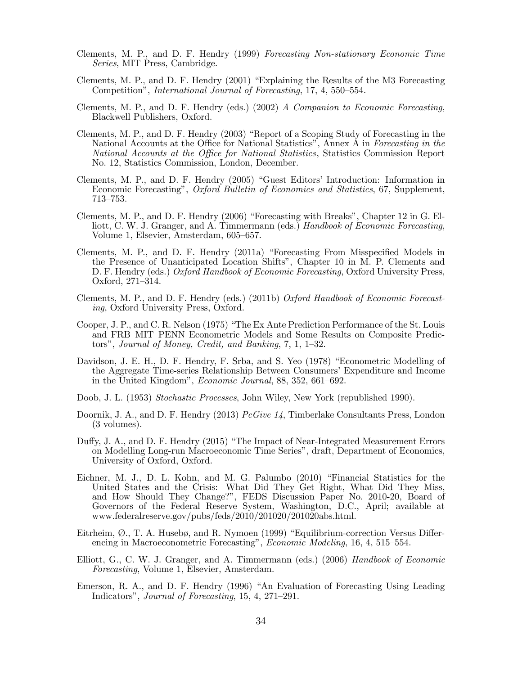- Clements, M. P., and D. F. Hendry (1999) Forecasting Non-stationary Economic Time Series, MIT Press, Cambridge.
- Clements, M. P., and D. F. Hendry (2001) "Explaining the Results of the M3 Forecasting Competition", International Journal of Forecasting, 17, 4, 550—554.
- Clements, M. P., and D. F. Hendry (eds.) (2002) A Companion to Economic Forecasting, Blackwell Publishers, Oxford.
- Clements, M. P., and D. F. Hendry (2003) "Report of a Scoping Study of Forecasting in the National Accounts at the Office for National Statistics", Annex A in Forecasting in the National Accounts at the Office for National Statistics, Statistics Commission Report No. 12, Statistics Commission, London, December.
- Clements, M. P., and D. F. Hendry (2005) "Guest Editors' Introduction: Information in Economic Forecasting", Oxford Bulletin of Economics and Statistics, 67, Supplement, 713—753.
- Clements, M. P., and D. F. Hendry (2006) "Forecasting with Breaks", Chapter 12 in G. Elliott, C. W. J. Granger, and A. Timmermann (eds.) Handbook of Economic Forecasting, Volume 1, Elsevier, Amsterdam, 605—657.
- Clements, M. P., and D. F. Hendry (2011a) "Forecasting From Misspecified Models in the Presence of Unanticipated Location Shifts", Chapter 10 in M. P. Clements and D. F. Hendry (eds.) Oxford Handbook of Economic Forecasting, Oxford University Press, Oxford, 271—314.
- Clements, M. P., and D. F. Hendry (eds.) (2011b) Oxford Handbook of Economic Forecasting, Oxford University Press, Oxford.
- Cooper, J. P., and C. R. Nelson (1975) "The Ex Ante Prediction Performance of the St. Louis and FRB—MIT—PENN Econometric Models and Some Results on Composite Predictors", Journal of Money, Credit, and Banking, 7, 1, 1—32.
- Davidson, J. E. H., D. F. Hendry, F. Srba, and S. Yeo (1978) "Econometric Modelling of the Aggregate Time-series Relationship Between Consumers' Expenditure and Income in the United Kingdom", Economic Journal, 88, 352, 661—692.
- Doob, J. L. (1953) Stochastic Processes, John Wiley, New York (republished 1990).
- Doornik, J. A., and D. F. Hendry (2013) *PcGive 14*, Timberlake Consultants Press, London (3 volumes).
- Duffy, J. A., and D. F. Hendry (2015) "The Impact of Near-Integrated Measurement Errors on Modelling Long-run Macroeconomic Time Series", draft, Department of Economics, University of Oxford, Oxford.
- Eichner, M. J., D. L. Kohn, and M. G. Palumbo (2010) "Financial Statistics for the United States and the Crisis: What Did They Get Right, What Did They Miss, and How Should They Change?", FEDS Discussion Paper No. 2010-20, Board of Governors of the Federal Reserve System, Washington, D.C., April; available at www.federalreserve.gov/pubs/feds/2010/201020/201020abs.html.
- Eitrheim, Ø., T. A. Husebø, and R. Nymoen (1999) "Equilibrium-correction Versus Differencing in Macroeconometric Forecasting", Economic Modeling, 16, 4, 515—554.
- Elliott, G., C. W. J. Granger, and A. Timmermann (eds.) (2006) Handbook of Economic Forecasting, Volume 1, Elsevier, Amsterdam.
- Emerson, R. A., and D. F. Hendry (1996) "An Evaluation of Forecasting Using Leading Indicators", Journal of Forecasting, 15, 4, 271—291.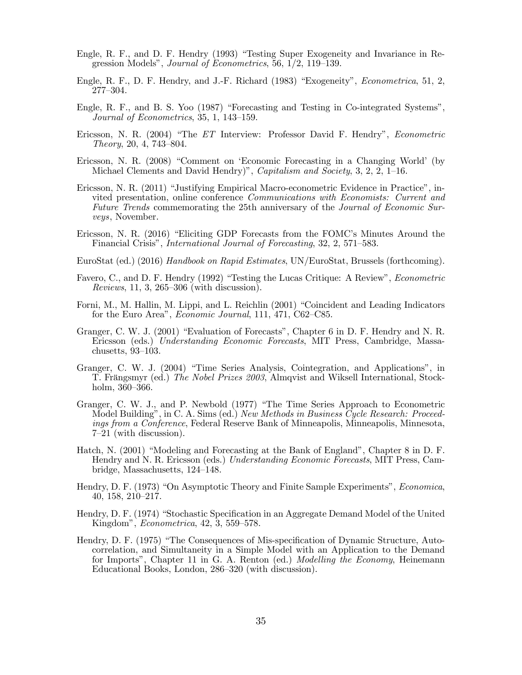- Engle, R. F., and D. F. Hendry (1993) "Testing Super Exogeneity and Invariance in Regression Models", Journal of Econometrics, 56, 1/2, 119—139.
- Engle, R. F., D. F. Hendry, and J.-F. Richard (1983) "Exogeneity", Econometrica, 51, 2, 277—304.
- Engle, R. F., and B. S. Yoo (1987) "Forecasting and Testing in Co-integrated Systems", Journal of Econometrics, 35, 1, 143—159.
- Ericsson, N. R. (2004) "The ET Interview: Professor David F. Hendry", Econometric Theory, 20, 4, 743—804.
- Ericsson, N. R. (2008) "Comment on 'Economic Forecasting in a Changing World' (by Michael Clements and David Hendry)", *Capitalism and Society*,  $3, 2, 2, 1$ –16.
- Ericsson, N. R. (2011) "Justifying Empirical Macro-econometric Evidence in Practice", invited presentation, online conference Communications with Economists: Current and Future Trends commemorating the 25th anniversary of the Journal of Economic Surveys, November.
- Ericsson, N. R. (2016) "Eliciting GDP Forecasts from the FOMC's Minutes Around the Financial Crisis", International Journal of Forecasting, 32, 2, 571—583.
- EuroStat (ed.) (2016) Handbook on Rapid Estimates, UN/EuroStat, Brussels (forthcoming).
- Favero, C., and D. F. Hendry (1992) "Testing the Lucas Critique: A Review", *Econometric* Reviews, 11, 3, 265—306 (with discussion).
- Forni, M., M. Hallin, M. Lippi, and L. Reichlin (2001) "Coincident and Leading Indicators for the Euro Area", *Economic Journal*, 111, 471, C62–C85.
- Granger, C. W. J. (2001) "Evaluation of Forecasts", Chapter 6 in D. F. Hendry and N. R. Ericsson (eds.) Understanding Economic Forecasts, MIT Press, Cambridge, Massachusetts, 93—103.
- Granger, C. W. J. (2004) "Time Series Analysis, Cointegration, and Applications", in T. Frängsmyr (ed.) The Nobel Prizes 2003, Almqvist and Wiksell International, Stockholm, 360—366.
- Granger, C. W. J., and P. Newbold (1977) "The Time Series Approach to Econometric Model Building", in C. A. Sims (ed.) New Methods in Business Cycle Research: Proceedings from a Conference, Federal Reserve Bank of Minneapolis, Minneapolis, Minnesota, 7—21 (with discussion).
- Hatch, N. (2001) "Modeling and Forecasting at the Bank of England", Chapter 8 in D. F. Hendry and N. R. Ericsson (eds.) Understanding Economic Forecasts, MIT Press, Cambridge, Massachusetts, 124—148.
- Hendry, D. F. (1973) "On Asymptotic Theory and Finite Sample Experiments", Economica, 40, 158, 210—217.
- Hendry, D. F. (1974) "Stochastic Specification in an Aggregate Demand Model of the United Kingdom", Econometrica, 42, 3, 559—578.
- Hendry, D. F. (1975) "The Consequences of Mis-specification of Dynamic Structure, Autocorrelation, and Simultaneity in a Simple Model with an Application to the Demand for Imports", Chapter 11 in G. A. Renton (ed.) Modelling the Economy, Heinemann Educational Books, London, 286—320 (with discussion).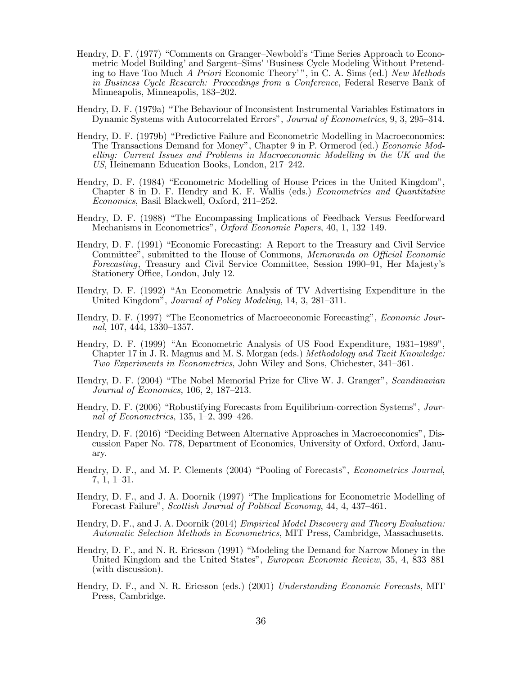- Hendry, D. F. (1977) "Comments on Granger—Newbold's 'Time Series Approach to Econometric Model Building' and Sargent—Sims' 'Business Cycle Modeling Without Pretending to Have Too Much A Priori Economic Theory' ", in C. A. Sims (ed.) New Methods in Business Cycle Research: Proceedings from a Conference, Federal Reserve Bank of Minneapolis, Minneapolis, 183—202.
- Hendry, D. F. (1979a) "The Behaviour of Inconsistent Instrumental Variables Estimators in Dynamic Systems with Autocorrelated Errors", Journal of Econometrics, 9, 3, 295—314.
- Hendry, D. F. (1979b) "Predictive Failure and Econometric Modelling in Macroeconomics: The Transactions Demand for Money", Chapter 9 in P. Ormerod (ed.) Economic Modelling: Current Issues and Problems in Macroeconomic Modelling in the UK and the US, Heinemann Education Books, London, 217—242.
- Hendry, D. F. (1984) "Econometric Modelling of House Prices in the United Kingdom", Chapter 8 in D. F. Hendry and K. F. Wallis (eds.) Econometrics and Quantitative Economics, Basil Blackwell, Oxford, 211—252.
- Hendry, D. F. (1988) "The Encompassing Implications of Feedback Versus Feedforward Mechanisms in Econometrics", Oxford Economic Papers, 40, 1, 132—149.
- Hendry, D. F. (1991) "Economic Forecasting: A Report to the Treasury and Civil Service Committee", submitted to the House of Commons, Memoranda on Official Economic Forecasting, Treasury and Civil Service Committee, Session 1990—91, Her Majesty's Stationery Office, London, July 12.
- Hendry, D. F. (1992) "An Econometric Analysis of TV Advertising Expenditure in the United Kingdom", Journal of Policy Modeling, 14, 3, 281–311.
- Hendry, D. F. (1997) "The Econometrics of Macroeconomic Forecasting", Economic Journal, 107, 444, 1330—1357.
- Hendry, D. F. (1999) "An Econometric Analysis of US Food Expenditure, 1931—1989", Chapter 17 in J. R. Magnus and M. S. Morgan (eds.) Methodology and Tacit Knowledge: Two Experiments in Econometrics, John Wiley and Sons, Chichester, 341—361.
- Hendry, D. F. (2004) "The Nobel Memorial Prize for Clive W. J. Granger", Scandinavian Journal of Economics, 106, 2, 187—213.
- Hendry, D. F. (2006) "Robustifying Forecasts from Equilibrium-correction Systems", Journal of Econometrics, 135, 1—2, 399—426.
- Hendry, D. F. (2016) "Deciding Between Alternative Approaches in Macroeconomics", Discussion Paper No. 778, Department of Economics, University of Oxford, Oxford, January.
- Hendry, D. F., and M. P. Clements (2004) "Pooling of Forecasts", Econometrics Journal, 7, 1, 1—31.
- Hendry, D. F., and J. A. Doornik (1997) "The Implications for Econometric Modelling of Forecast Failure", Scottish Journal of Political Economy, 44, 4, 437—461.
- Hendry, D. F., and J. A. Doornik (2014) *Empirical Model Discovery and Theory Evaluation:* Automatic Selection Methods in Econometrics, MIT Press, Cambridge, Massachusetts.
- Hendry, D. F., and N. R. Ericsson (1991) "Modeling the Demand for Narrow Money in the United Kingdom and the United States", European Economic Review, 35, 4, 833—881 (with discussion).
- Hendry, D. F., and N. R. Ericsson (eds.) (2001) Understanding Economic Forecasts, MIT Press, Cambridge.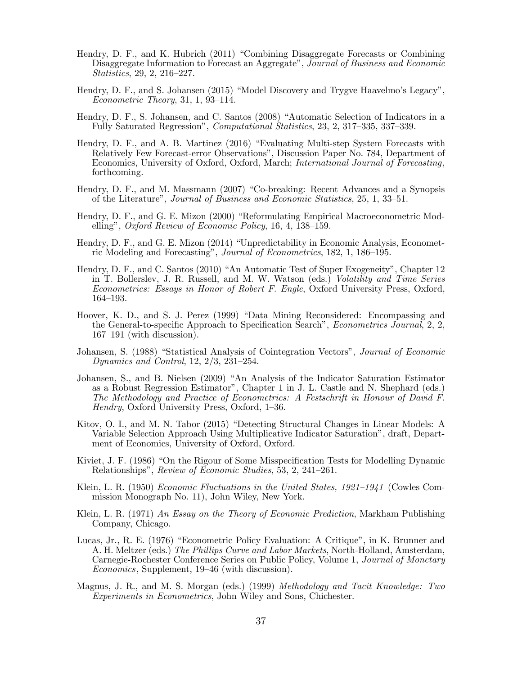- Hendry, D. F., and K. Hubrich (2011) "Combining Disaggregate Forecasts or Combining Disaggregate Information to Forecast an Aggregate", Journal of Business and Economic Statistics, 29, 2, 216—227.
- Hendry, D. F., and S. Johansen (2015) "Model Discovery and Trygve Haavelmo's Legacy", Econometric Theory, 31, 1, 93—114.
- Hendry, D. F., S. Johansen, and C. Santos (2008) "Automatic Selection of Indicators in a Fully Saturated Regression", Computational Statistics, 23, 2, 317—335, 337—339.
- Hendry, D. F., and A. B. Martinez (2016) "Evaluating Multi-step System Forecasts with Relatively Few Forecast-error Observations", Discussion Paper No. 784, Department of Economics, University of Oxford, Oxford, March; International Journal of Forecasting, forthcoming.
- Hendry, D. F., and M. Massmann (2007) "Co-breaking: Recent Advances and a Synopsis of the Literature", Journal of Business and Economic Statistics, 25, 1, 33—51.
- Hendry, D. F., and G. E. Mizon (2000) "Reformulating Empirical Macroeconometric Modelling", Oxford Review of Economic Policy, 16, 4, 138—159.
- Hendry, D. F., and G. E. Mizon (2014) "Unpredictability in Economic Analysis, Econometric Modeling and Forecasting", Journal of Econometrics, 182, 1, 186—195.
- Hendry, D. F., and C. Santos (2010) "An Automatic Test of Super Exogeneity", Chapter 12 in T. Bollerslev, J. R. Russell, and M. W. Watson (eds.) Volatility and Time Series Econometrics: Essays in Honor of Robert F. Engle, Oxford University Press, Oxford, 164—193.
- Hoover, K. D., and S. J. Perez (1999) "Data Mining Reconsidered: Encompassing and the General-to-specific Approach to Specification Search", Econometrics Journal, 2, 2, 167—191 (with discussion).
- Johansen, S. (1988) "Statistical Analysis of Cointegration Vectors", Journal of Economic Dynamics and Control, 12, 2/3, 231—254.
- Johansen, S., and B. Nielsen (2009) "An Analysis of the Indicator Saturation Estimator as a Robust Regression Estimator", Chapter 1 in J. L. Castle and N. Shephard (eds.) The Methodology and Practice of Econometrics: A Festschrift in Honour of David F. Hendry, Oxford University Press, Oxford, 1—36.
- Kitov, O. I., and M. N. Tabor (2015) "Detecting Structural Changes in Linear Models: A Variable Selection Approach Using Multiplicative Indicator Saturation", draft, Department of Economics, University of Oxford, Oxford.
- Kiviet, J. F. (1986) "On the Rigour of Some Misspecification Tests for Modelling Dynamic Relationships", Review of Economic Studies, 53, 2, 241—261.
- Klein, L. R. (1950) *Economic Fluctuations in the United States, 1921–1941* (Cowles Commission Monograph No. 11), John Wiley, New York.
- Klein, L. R. (1971) An Essay on the Theory of Economic Prediction, Markham Publishing Company, Chicago.
- Lucas, Jr., R. E. (1976) "Econometric Policy Evaluation: A Critique", in K. Brunner and A. H. Meltzer (eds.) The Phillips Curve and Labor Markets, North-Holland, Amsterdam, Carnegie-Rochester Conference Series on Public Policy, Volume 1, Journal of Monetary Economics, Supplement, 19—46 (with discussion).
- Magnus, J. R., and M. S. Morgan (eds.) (1999) *Methodology and Tacit Knowledge: Two* Experiments in Econometrics, John Wiley and Sons, Chichester.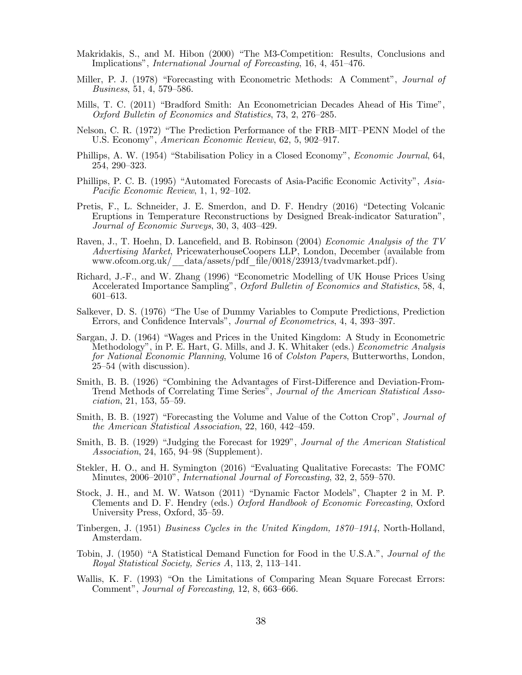- Makridakis, S., and M. Hibon (2000) "The M3-Competition: Results, Conclusions and Implications", International Journal of Forecasting, 16, 4, 451—476.
- Miller, P. J. (1978) "Forecasting with Econometric Methods: A Comment", *Journal of* Business, 51, 4, 579—586.
- Mills, T. C. (2011) "Bradford Smith: An Econometrician Decades Ahead of His Time", Oxford Bulletin of Economics and Statistics, 73, 2, 276—285.
- Nelson, C. R. (1972) "The Prediction Performance of the FRB—MIT—PENN Model of the U.S. Economy", American Economic Review, 62, 5, 902—917.
- Phillips, A. W. (1954) "Stabilisation Policy in a Closed Economy", *Economic Journal*, 64, 254, 290—323.
- Phillips, P. C. B. (1995) "Automated Forecasts of Asia-Pacific Economic Activity", Asia-Pacific Economic Review, 1, 1, 92—102.
- Pretis, F., L. Schneider, J. E. Smerdon, and D. F. Hendry (2016) "Detecting Volcanic Eruptions in Temperature Reconstructions by Designed Break-indicator Saturation", Journal of Economic Surveys, 30, 3, 403—429.
- Raven, J., T. Hoehn, D. Lancefield, and B. Robinson (2004) *Economic Analysis of the TV* Advertising Market, PricewaterhouseCoopers LLP, London, December (available from www.ofcom.org.uk/\_\_data/assets/pdf\_file/0018/23913/tvadvmarket.pdf).
- Richard, J.-F., and W. Zhang (1996) "Econometric Modelling of UK House Prices Using Accelerated Importance Sampling", Oxford Bulletin of Economics and Statistics, 58, 4, 601—613.
- Salkever, D. S. (1976) "The Use of Dummy Variables to Compute Predictions, Prediction Errors, and Confidence Intervals", Journal of Econometrics, 4, 4, 393—397.
- Sargan, J. D. (1964) "Wages and Prices in the United Kingdom: A Study in Econometric Methodology", in P. E. Hart, G. Mills, and J. K. Whitaker (eds.) Econometric Analysis for National Economic Planning, Volume 16 of Colston Papers, Butterworths, London, 25—54 (with discussion).
- Smith, B. B. (1926) "Combining the Advantages of First-Difference and Deviation-From-Trend Methods of Correlating Time Series", Journal of the American Statistical Association, 21, 153, 55—59.
- Smith, B. B. (1927) "Forecasting the Volume and Value of the Cotton Crop", *Journal of* the American Statistical Association, 22, 160, 442—459.
- Smith, B. B. (1929) "Judging the Forecast for 1929", Journal of the American Statistical Association, 24, 165, 94—98 (Supplement).
- Stekler, H. O., and H. Symington (2016) "Evaluating Qualitative Forecasts: The FOMC Minutes, 2006—2010", International Journal of Forecasting, 32, 2, 559—570.
- Stock, J. H., and M. W. Watson (2011) "Dynamic Factor Models", Chapter 2 in M. P. Clements and D. F. Hendry (eds.) Oxford Handbook of Economic Forecasting, Oxford University Press, Oxford, 35—59.
- Tinbergen, J. (1951) Business Cycles in the United Kingdom, 1870—1914, North-Holland, Amsterdam.
- Tobin, J. (1950) "A Statistical Demand Function for Food in the U.S.A.", Journal of the Royal Statistical Society, Series A, 113, 2, 113—141.
- Wallis, K. F. (1993) "On the Limitations of Comparing Mean Square Forecast Errors: Comment", Journal of Forecasting, 12, 8, 663—666.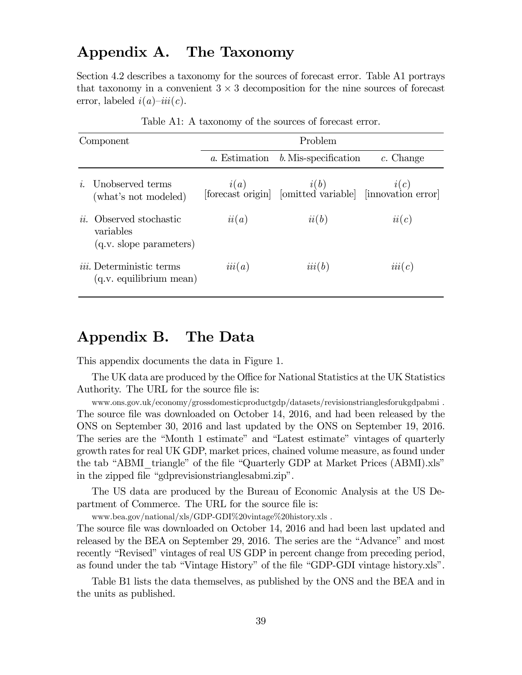## Appendix A. The Taxonomy

Section 4.2 describes a taxonomy for the sources of forecast error. Table A1 portrays that taxonomy in a convenient  $3 \times 3$  decomposition for the nine sources of forecast error, labeled  $i(a)$ - $iii(c)$ .

| Component    |                                                                           | Problem       |                                                                   |             |  |
|--------------|---------------------------------------------------------------------------|---------------|-------------------------------------------------------------------|-------------|--|
|              |                                                                           | a. Estimation | b. Mis-specification                                              | $c.$ Change |  |
| $\mathbf{r}$ | Unobserved terms<br>(what's not modeled)                                  |               | $i(a)$<br>[forecast origin] [omitted variable] [innovation error] |             |  |
|              | <i>ii</i> . Observed stochastic<br>variables<br>$(q.v.$ slope parameters) | ii(a)         | ii(b)                                                             | ii(c)       |  |
|              | <i>iii.</i> Deterministic terms<br>$(q.v.$ equilibrium mean)              | iii(a)        | iii(b)                                                            | iii(c)      |  |

Table A1: A taxonomy of the sources of forecast error.

## Appendix B. The Data

This appendix documents the data in Figure 1.

The UK data are produced by the Office for National Statistics at the UK Statistics Authority. The URL for the source file is:

www.ons.gov.uk/economy/grossdomesticproductgdp/datasets/revisionstrianglesforukgdpabmi . The source file was downloaded on October 14, 2016, and had been released by the ONS on September 30, 2016 and last updated by the ONS on September 19, 2016. The series are the "Month 1 estimate" and "Latest estimate" vintages of quarterly growth rates for real UK GDP, market prices, chained volume measure, as found under the tab "ABMI triangle" of the file "Quarterly GDP at Market Prices (ABMI).xls" in the zipped file "gdprevisionstrianglesabmi.zip".

The US data are produced by the Bureau of Economic Analysis at the US Department of Commerce. The URL for the source file is:

www.bea.gov/national/xls/GDP-GDI%20vintage%20history.xls .

The source file was downloaded on October 14, 2016 and had been last updated and released by the BEA on September 29, 2016. The series are the "Advance" and most recently "Revised" vintages of real US GDP in percent change from preceding period, as found under the tab "Vintage History" of the file "GDP-GDI vintage history.xls".

Table B1 lists the data themselves, as published by the ONS and the BEA and in the units as published.